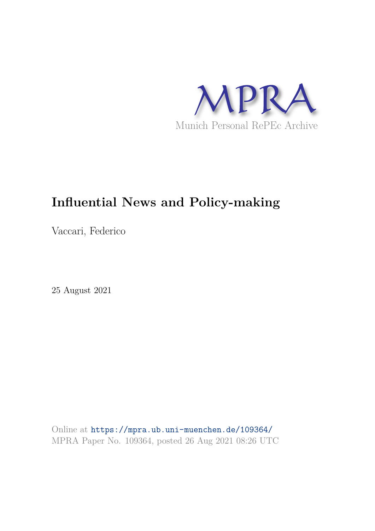

# **Influential News and Policy-making**

Vaccari, Federico

25 August 2021

Online at https://mpra.ub.uni-muenchen.de/109364/ MPRA Paper No. 109364, posted 26 Aug 2021 08:26 UTC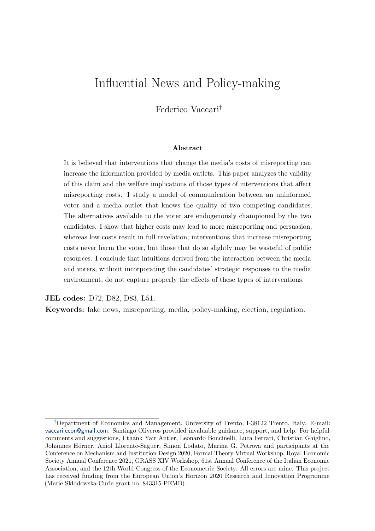## Influential News and Policy-making

Federico Vaccari†

#### Abstract

It is believed that interventions that change the media's costs of misreporting can increase the information provided by media outlets. This paper analyzes the validity of this claim and the welfare implications of those types of interventions that affect misreporting costs. I study a model of communication between an uninformed voter and a media outlet that knows the quality of two competing candidates. The alternatives available to the voter are endogenously championed by the two candidates. I show that higher costs may lead to more misreporting and persuasion, whereas low costs result in full revelation; interventions that increase misreporting costs never harm the voter, but those that do so slightly may be wasteful of public resources. I conclude that intuitions derived from the interaction between the media and voters, without incorporating the candidates' strategic responses to the media environment, do not capture properly the effects of these types of interventions.

JEL codes: D72, D82, D83, L51.

Keywords: fake news, misreporting, media, policy-making, election, regulation.

<sup>†</sup>Department of Economics and Management, University of Trento, I-38122 Trento, Italy. E-mail: vaccari.econ@gmail.com. Santiago Oliveros provided invaluable guidance, support, and help. For helpful comments and suggestions, I thank Yair Antler, Leonardo Boncinelli, Luca Ferrari, Christian Ghiglino, Johannes Hörner, Aniol Llorente-Saguer, Simon Lodato, Marina G. Petrova and participants at the Conference on Mechanism and Institution Design 2020, Formal Theory Virtual Workshop, Royal Economic Society Annual Conference 2021, GRASS XIV Workshop, 61st Annual Conference of the Italian Economic Association, and the 12th World Congress of the Econometric Society. All errors are mine. This project has received funding from the European Union's Horizon 2020 Research and Innovation Programme (Marie Skłodowska-Curie grant no. 843315-PEMB).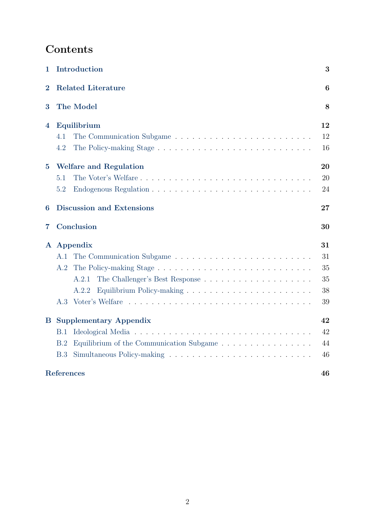## Contents

| $\mathbf{1}$     | Introduction                                    | 3  |
|------------------|-------------------------------------------------|----|
| $\overline{2}$   | <b>Related Literature</b>                       | 6  |
| 3                | The Model                                       | 8  |
| $\boldsymbol{4}$ | Equilibrium                                     | 12 |
|                  | 4.1                                             | 12 |
|                  | 4.2                                             | 16 |
| $\overline{5}$   | <b>Welfare and Regulation</b>                   | 20 |
|                  | The Voter's Welfare<br>5.1                      | 20 |
|                  | 5.2                                             | 24 |
| 6                | <b>Discussion and Extensions</b>                | 27 |
| 7                | Conclusion                                      | 30 |
|                  | A Appendix                                      | 31 |
|                  | A.1                                             | 31 |
|                  | A.2                                             | 35 |
|                  | A.2.1                                           | 35 |
|                  | A.2.2                                           | 38 |
|                  | A.3                                             | 39 |
| $\bf B$          | <b>Supplementary Appendix</b>                   | 42 |
|                  | B.1                                             | 42 |
|                  | Equilibrium of the Communication Subgame<br>B.2 | 44 |
|                  | B.3                                             | 46 |
|                  | References                                      | 46 |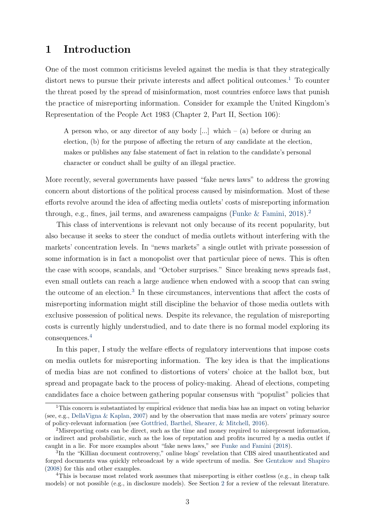### 1 Introduction

One of the most common criticisms leveled against the media is that they strategically distort news to pursue their private interests and affect political outcomes.<sup>1</sup> To counter the threat posed by the spread of misinformation, most countries enforce laws that punish the practice of misreporting information. Consider for example the United Kingdom's Representation of the People Act 1983 (Chapter 2, Part II, Section 106):

A person who, or any director of any body  $[...]$  which – (a) before or during an election, (b) for the purpose of affecting the return of any candidate at the election, makes or publishes any false statement of fact in relation to the candidate's personal character or conduct shall be guilty of an illegal practice.

More recently, several governments have passed "fake news laws" to address the growing concern about distortions of the political process caused by misinformation. Most of these efforts revolve around the idea of affecting media outlets' costs of misreporting information through, e.g., fines, jail terms, and awareness campaigns (Funke & Famini, 2018).<sup>2</sup>

This class of interventions is relevant not only because of its recent popularity, but also because it seeks to steer the conduct of media outlets without interfering with the markets' concentration levels. In "news markets" a single outlet with private possession of some information is in fact a monopolist over that particular piece of news. This is often the case with scoops, scandals, and "October surprises." Since breaking news spreads fast, even small outlets can reach a large audience when endowed with a scoop that can swing the outcome of an election.<sup>3</sup> In these circumstances, interventions that affect the costs of misreporting information might still discipline the behavior of those media outlets with exclusive possession of political news. Despite its relevance, the regulation of misreporting costs is currently highly understudied, and to date there is no formal model exploring its consequences.<sup>4</sup>

In this paper, I study the welfare effects of regulatory interventions that impose costs on media outlets for misreporting information. The key idea is that the implications of media bias are not confined to distortions of voters' choice at the ballot box, but spread and propagate back to the process of policy-making. Ahead of elections, competing candidates face a choice between gathering popular consensus with "populist" policies that

<sup>&</sup>lt;sup>1</sup>This concern is substantiated by empirical evidence that media bias has an impact on voting behavior (see, e.g., DellaVigna & Kaplan, 2007) and by the observation that mass media are voters' primary source of policy-relevant information (see Gottfried, Barthel, Shearer, & Mitchell, 2016).

<sup>2</sup>Misreporting costs can be direct, such as the time and money required to misrepresent information, or indirect and probabilistic, such as the loss of reputation and profits incurred by a media outlet if caught in a lie. For more examples about "fake news laws," see Funke and Famini (2018).

<sup>3</sup> In the "Killian document controversy," online blogs' revelation that CBS aired unauthenticated and forged documents was quickly rebroadcast by a wide spectrum of media. See Gentzkow and Shapiro (2008) for this and other examples.

<sup>&</sup>lt;sup>4</sup>This is because most related work assumes that misreporting is either costless (e.g., in cheap talk models) or not possible (e.g., in disclosure models). See Section 2 for a review of the relevant literature.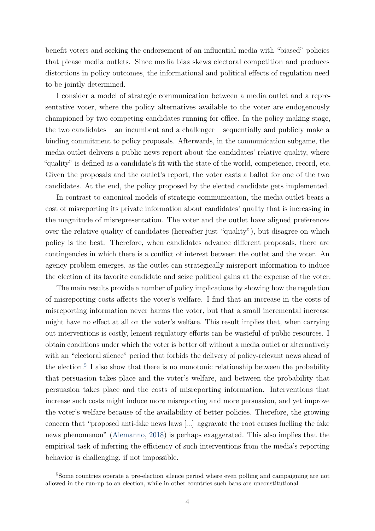benefit voters and seeking the endorsement of an influential media with "biased" policies that please media outlets. Since media bias skews electoral competition and produces distortions in policy outcomes, the informational and political effects of regulation need to be jointly determined.

I consider a model of strategic communication between a media outlet and a representative voter, where the policy alternatives available to the voter are endogenously championed by two competing candidates running for office. In the policy-making stage, the two candidates – an incumbent and a challenger – sequentially and publicly make a binding commitment to policy proposals. Afterwards, in the communication subgame, the media outlet delivers a public news report about the candidates' relative quality, where "quality" is defined as a candidate's fit with the state of the world, competence, record, etc. Given the proposals and the outlet's report, the voter casts a ballot for one of the two candidates. At the end, the policy proposed by the elected candidate gets implemented.

In contrast to canonical models of strategic communication, the media outlet bears a cost of misreporting its private information about candidates' quality that is increasing in the magnitude of misrepresentation. The voter and the outlet have aligned preferences over the relative quality of candidates (hereafter just "quality"), but disagree on which policy is the best. Therefore, when candidates advance different proposals, there are contingencies in which there is a conflict of interest between the outlet and the voter. An agency problem emerges, as the outlet can strategically misreport information to induce the election of its favorite candidate and seize political gains at the expense of the voter.

The main results provide a number of policy implications by showing how the regulation of misreporting costs affects the voter's welfare. I find that an increase in the costs of misreporting information never harms the voter, but that a small incremental increase might have no effect at all on the voter's welfare. This result implies that, when carrying out interventions is costly, lenient regulatory efforts can be wasteful of public resources. I obtain conditions under which the voter is better off without a media outlet or alternatively with an "electoral silence" period that forbids the delivery of policy-relevant news ahead of the election.<sup>5</sup> I also show that there is no monotonic relationship between the probability that persuasion takes place and the voter's welfare, and between the probability that persuasion takes place and the costs of misreporting information. Interventions that increase such costs might induce more misreporting and more persuasion, and yet improve the voter's welfare because of the availability of better policies. Therefore, the growing concern that "proposed anti-fake news laws [...] aggravate the root causes fuelling the fake news phenomenon" (Alemanno, 2018) is perhaps exaggerated. This also implies that the empirical task of inferring the efficiency of such interventions from the media's reporting behavior is challenging, if not impossible.

<sup>&</sup>lt;sup>5</sup>Some countries operate a pre-election silence period where even polling and campaigning are not allowed in the run-up to an election, while in other countries such bans are unconstitutional.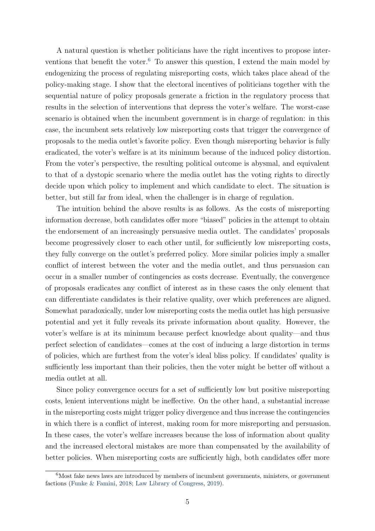A natural question is whether politicians have the right incentives to propose interventions that benefit the voter.<sup>6</sup> To answer this question, I extend the main model by endogenizing the process of regulating misreporting costs, which takes place ahead of the policy-making stage. I show that the electoral incentives of politicians together with the sequential nature of policy proposals generate a friction in the regulatory process that results in the selection of interventions that depress the voter's welfare. The worst-case scenario is obtained when the incumbent government is in charge of regulation: in this case, the incumbent sets relatively low misreporting costs that trigger the convergence of proposals to the media outlet's favorite policy. Even though misreporting behavior is fully eradicated, the voter's welfare is at its minimum because of the induced policy distortion. From the voter's perspective, the resulting political outcome is abysmal, and equivalent to that of a dystopic scenario where the media outlet has the voting rights to directly decide upon which policy to implement and which candidate to elect. The situation is better, but still far from ideal, when the challenger is in charge of regulation.

The intuition behind the above results is as follows. As the costs of misreporting information decrease, both candidates offer more "biased" policies in the attempt to obtain the endorsement of an increasingly persuasive media outlet. The candidates' proposals become progressively closer to each other until, for sufficiently low misreporting costs, they fully converge on the outlet's preferred policy. More similar policies imply a smaller conflict of interest between the voter and the media outlet, and thus persuasion can occur in a smaller number of contingencies as costs decrease. Eventually, the convergence of proposals eradicates any conflict of interest as in these cases the only element that can differentiate candidates is their relative quality, over which preferences are aligned. Somewhat paradoxically, under low misreporting costs the media outlet has high persuasive potential and yet it fully reveals its private information about quality. However, the voter's welfare is at its minimum because perfect knowledge about quality—and thus perfect selection of candidates—comes at the cost of inducing a large distortion in terms of policies, which are furthest from the voter's ideal bliss policy. If candidates' quality is sufficiently less important than their policies, then the voter might be better off without a media outlet at all.

Since policy convergence occurs for a set of sufficiently low but positive misreporting costs, lenient interventions might be ineffective. On the other hand, a substantial increase in the misreporting costs might trigger policy divergence and thus increase the contingencies in which there is a conflict of interest, making room for more misreporting and persuasion. In these cases, the voter's welfare increases because the loss of information about quality and the increased electoral mistakes are more than compensated by the availability of better policies. When misreporting costs are sufficiently high, both candidates offer more

<sup>6</sup>Most fake news laws are introduced by members of incumbent governments, ministers, or government factions (Funke & Famini, 2018; Law Library of Congress, 2019).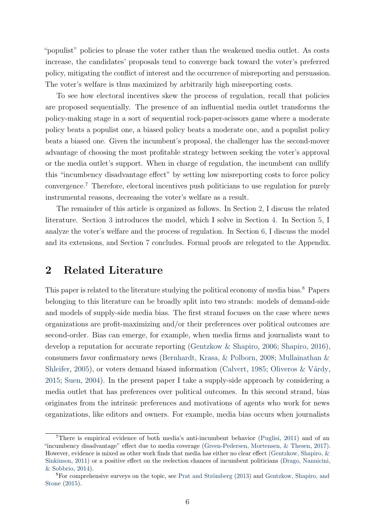"populist" policies to please the voter rather than the weakened media outlet. As costs increase, the candidates' proposals tend to converge back toward the voter's preferred policy, mitigating the conflict of interest and the occurrence of misreporting and persuasion. The voter's welfare is thus maximized by arbitrarily high misreporting costs.

To see how electoral incentives skew the process of regulation, recall that policies are proposed sequentially. The presence of an influential media outlet transforms the policy-making stage in a sort of sequential rock-paper-scissors game where a moderate policy beats a populist one, a biased policy beats a moderate one, and a populist policy beats a biased one. Given the incumbent's proposal, the challenger has the second-mover advantage of choosing the most profitable strategy between seeking the voter's approval or the media outlet's support. When in charge of regulation, the incumbent can nullify this "incumbency disadvantage effect" by setting low misreporting costs to force policy convergence.<sup>7</sup> Therefore, electoral incentives push politicians to use regulation for purely instrumental reasons, decreasing the voter's welfare as a result.

The remainder of this article is organized as follows. In Section 2, I discuss the related literature. Section 3 introduces the model, which I solve in Section 4. In Section 5, I analyze the voter's welfare and the process of regulation. In Section 6, I discuss the model and its extensions, and Section 7 concludes. Formal proofs are relegated to the Appendix.

### 2 Related Literature

This paper is related to the literature studying the political economy of media bias.<sup>8</sup> Papers belonging to this literature can be broadly split into two strands: models of demand-side and models of supply-side media bias. The first strand focuses on the case where news organizations are profit-maximizing and/or their preferences over political outcomes are second-order. Bias can emerge, for example, when media firms and journalists want to develop a reputation for accurate reporting (Gentzkow & Shapiro, 2006; Shapiro, 2016), consumers favor confirmatory news (Bernhardt, Krasa, & Polborn, 2008; Mullainathan & Shleifer, 2005), or voters demand biased information (Calvert, 1985; Oliveros & Várdy, 2015; Suen, 2004). In the present paper I take a supply-side approach by considering a media outlet that has preferences over political outcomes. In this second strand, bias originates from the intrinsic preferences and motivations of agents who work for news organizations, like editors and owners. For example, media bias occurs when journalists

<sup>7</sup>There is empirical evidence of both media's anti-incumbent behavior (Puglisi, 2011) and of an "incumbency disadvantage" effect due to media coverage (Green-Pedersen, Mortensen, & Thesen, 2017). However, evidence is mixed as other work finds that media has either no clear effect (Gentzkow, Shapiro, & Sinkinson, 2011) or a positive effect on the reelection chances of incumbent politicians (Drago, Nannicini, & Sobbrio, 2014).

 ${}^{8}$ For comprehensive surveys on the topic, see Prat and Strömberg (2013) and Gentzkow, Shapiro, and Stone (2015).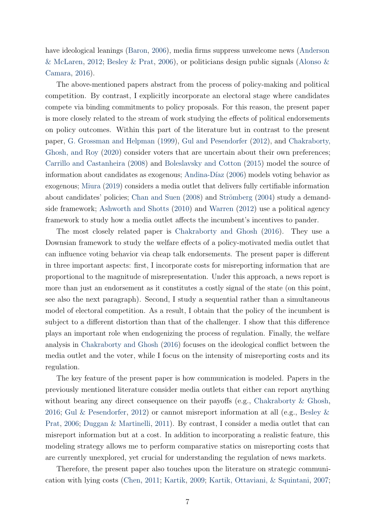have ideological leanings (Baron, 2006), media firms suppress unwelcome news (Anderson & McLaren, 2012; Besley & Prat, 2006), or politicians design public signals (Alonso & Camara, 2016).

The above-mentioned papers abstract from the process of policy-making and political competition. By contrast, I explicitly incorporate an electoral stage where candidates compete via binding commitments to policy proposals. For this reason, the present paper is more closely related to the stream of work studying the effects of political endorsements on policy outcomes. Within this part of the literature but in contrast to the present paper, G. Grossman and Helpman (1999), Gul and Pesendorfer (2012), and Chakraborty, Ghosh, and Roy (2020) consider voters that are uncertain about their own preferences; Carrillo and Castanheira (2008) and Boleslavsky and Cotton (2015) model the source of information about candidates as exogenous; Andina-Díaz (2006) models voting behavior as exogenous; Miura (2019) considers a media outlet that delivers fully certifiable information about candidates' policies; Chan and Suen  $(2008)$  and Strömberg  $(2004)$  study a demandside framework; Ashworth and Shotts (2010) and Warren (2012) use a political agency framework to study how a media outlet affects the incumbent's incentives to pander.

The most closely related paper is Chakraborty and Ghosh (2016). They use a Downsian framework to study the welfare effects of a policy-motivated media outlet that can influence voting behavior via cheap talk endorsements. The present paper is different in three important aspects: first, I incorporate costs for misreporting information that are proportional to the magnitude of misrepresentation. Under this approach, a news report is more than just an endorsement as it constitutes a costly signal of the state (on this point, see also the next paragraph). Second, I study a sequential rather than a simultaneous model of electoral competition. As a result, I obtain that the policy of the incumbent is subject to a different distortion than that of the challenger. I show that this difference plays an important role when endogenizing the process of regulation. Finally, the welfare analysis in Chakraborty and Ghosh (2016) focuses on the ideological conflict between the media outlet and the voter, while I focus on the intensity of misreporting costs and its regulation.

The key feature of the present paper is how communication is modeled. Papers in the previously mentioned literature consider media outlets that either can report anything without bearing any direct consequence on their payoffs (e.g., Chakraborty & Ghosh, 2016; Gul & Pesendorfer, 2012) or cannot misreport information at all (e.g., Besley & Prat, 2006; Duggan & Martinelli, 2011). By contrast, I consider a media outlet that can misreport information but at a cost. In addition to incorporating a realistic feature, this modeling strategy allows me to perform comparative statics on misreporting costs that are currently unexplored, yet crucial for understanding the regulation of news markets.

Therefore, the present paper also touches upon the literature on strategic communication with lying costs (Chen, 2011; Kartik, 2009; Kartik, Ottaviani, & Squintani, 2007;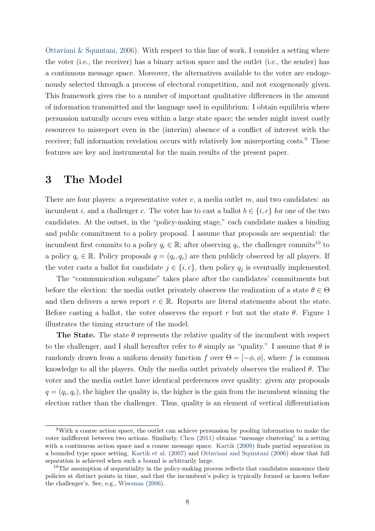Ottaviani & Squintani, 2006). With respect to this line of work, I consider a setting where the voter (i.e., the receiver) has a binary action space and the outlet (i.e., the sender) has a continuous message space. Moreover, the alternatives available to the voter are endogenously selected through a process of electoral competition, and not exogenously given. This framework gives rise to a number of important qualitative differences in the amount of information transmitted and the language used in equilibrium: I obtain equilibria where persuasion naturally occurs even within a large state space; the sender might invest costly resources to misreport even in the (interim) absence of a conflict of interest with the receiver; full information revelation occurs with relatively low misreporting costs.<sup>9</sup> These features are key and instrumental for the main results of the present paper.

### 3 The Model

There are four players: a representative voter  $v$ , a media outlet  $m$ , and two candidates: an incumbent i, and a challenger c. The voter has to cast a ballot  $b \in \{i, c\}$  for one of the two candidates. At the outset, in the "policy-making stage," each candidate makes a binding and public commitment to a policy proposal. I assume that proposals are sequential: the incumbent first commits to a policy  $q_i \in \mathbb{R}$ ; after observing  $q_i$ , the challenger commits<sup>10</sup> to a policy  $q_c \in \mathbb{R}$ . Policy proposals  $q = (q_i, q_c)$  are then publicly observed by all players. If the voter casts a ballot for candidate  $j \in \{i, c\}$ , then policy  $q_j$  is eventually implemented.

The "communication subgame" takes place after the candidates' commitments but before the election: the media outlet privately observes the realization of a state  $\theta \in \Theta$ and then delivers a news report  $r \in \mathbb{R}$ . Reports are literal statements about the state. Before casting a ballot, the voter observes the report r but not the state  $\theta$ . Figure 1 illustrates the timing structure of the model.

The State. The state  $\theta$  represents the relative quality of the incumbent with respect to the challenger, and I shall hereafter refer to  $\theta$  simply as "quality." I assume that  $\theta$  is randomly drawn from a uniform density function f over  $\Theta = [-\phi, \phi]$ , where f is common knowledge to all the players. Only the media outlet privately observes the realized  $\theta$ . The voter and the media outlet have identical preferences over quality: given any proposals  $q = (q_i, q_c)$ , the higher the quality is, the higher is the gain from the incumbent winning the election rather than the challenger. Thus, quality is an element of vertical differentiation

<sup>9</sup>With a coarse action space, the outlet can achieve persuasion by pooling information to make the voter indifferent between two actions. Similarly, Chen (2011) obtains "message clustering" in a setting with a continuous action space and a coarse message space. Kartik (2009) finds partial separation in a bounded type space setting. Kartik et al. (2007) and Ottaviani and Squintani (2006) show that full separation is achieved when such a bound is arbitrarily large.

<sup>&</sup>lt;sup>10</sup>The assumption of sequentiality in the policy-making process reflects that candidates announce their policies at distinct points in time, and that the incumbent's policy is typically formed or known before the challenger's. See, e.g., Wiseman (2006).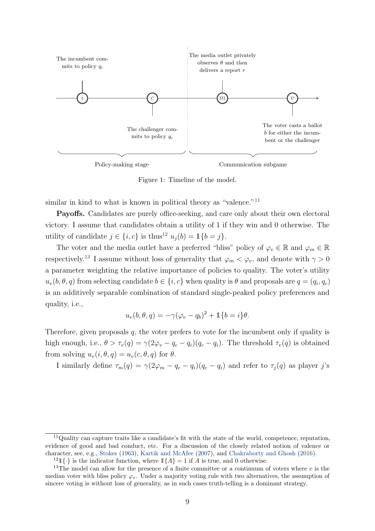

Figure 1: Timeline of the model.

similar in kind to what is known in political theory as "valence."<sup>11</sup>

Payoffs. Candidates are purely office-seeking, and care only about their own electoral victory. I assume that candidates obtain a utility of 1 if they win and 0 otherwise. The utility of candidate  $j \in \{i, c\}$  is thus<sup>12</sup>  $u_i(b) = \mathbb{1}\{b = j\}.$ 

The voter and the media outlet have a preferred "bliss" policy of  $\varphi_v \in \mathbb{R}$  and  $\varphi_m \in \mathbb{R}$ respectively.<sup>13</sup> I assume without loss of generality that  $\varphi_m < \varphi_v$ , and denote with  $\gamma > 0$ a parameter weighting the relative importance of policies to quality. The voter's utility  $u_v(b, \theta, q)$  from selecting candidate  $b \in \{i, c\}$  when quality is  $\theta$  and proposals are  $q = (q_i, q_c)$ is an additively separable combination of standard single-peaked policy preferences and quality, i.e.,

$$
u_v(b, \theta, q) = -\gamma(\varphi_v - q_b)^2 + \mathbb{1}\{b = i\}\theta.
$$

Therefore, given proposals  $q$ , the voter prefers to vote for the incumbent only if quality is high enough, i.e.,  $\theta > \tau_v(q) = \gamma(2\varphi_v - q_c - q_i)(q_c - q_i)$ . The threshold  $\tau_v(q)$  is obtained from solving  $u_v(i, \theta, q) = u_v(c, \theta, q)$  for  $\theta$ .

I similarly define  $\tau_m(q) = \gamma(2\varphi_m - q_c - q_i)(q_c - q_i)$  and refer to  $\tau_j(q)$  as player j's

 $11$ Quality can capture traits like a candidate's fit with the state of the world, competence, reputation, evidence of good and bad conduct, etc. For a discussion of the closely related notion of valence or character, see, e.g., Stokes (1963), Kartik and McAfee (2007), and Chakraborty and Ghosh (2016).

<sup>&</sup>lt;sup>12</sup>1 $\{\cdot\}$  is the indicator function, where  $1\{A\} = 1$  if A is true, and 0 otherwise.

<sup>&</sup>lt;sup>13</sup>The model can allow for the presence of a finite committee or a continuum of voters where  $v$  is the median voter with bliss policy  $\varphi_v$ . Under a majority voting rule with two alternatives, the assumption of sincere voting is without loss of generality, as in such cases truth-telling is a dominant strategy.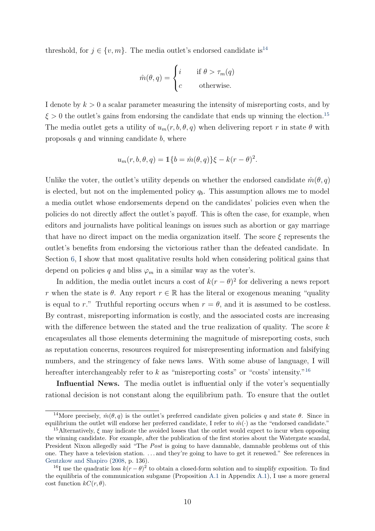threshold, for  $j \in \{v, m\}$ . The media outlet's endorsed candidate is<sup>14</sup>

$$
\hat{m}(\theta, q) = \begin{cases} i & \text{if } \theta > \tau_m(q) \\ c & \text{otherwise.} \end{cases}
$$

I denote by  $k > 0$  a scalar parameter measuring the intensity of misreporting costs, and by  $\xi > 0$  the outlet's gains from endorsing the candidate that ends up winning the election.<sup>15</sup> The media outlet gets a utility of  $u_m(r, b, \theta, q)$  when delivering report r in state  $\theta$  with proposals  $q$  and winning candidate  $b$ , where

$$
u_m(r, b, \theta, q) = \mathbb{1}\{b = \hat{m}(\theta, q)\}\xi - k(r - \theta)^2.
$$

Unlike the voter, the outlet's utility depends on whether the endorsed candidate  $\hat{m}(\theta, q)$ is elected, but not on the implemented policy  $q<sub>b</sub>$ . This assumption allows me to model a media outlet whose endorsements depend on the candidates' policies even when the policies do not directly affect the outlet's payoff. This is often the case, for example, when editors and journalists have political leanings on issues such as abortion or gay marriage that have no direct impact on the media organization itself. The score  $\xi$  represents the outlet's benefits from endorsing the victorious rather than the defeated candidate. In Section 6, I show that most qualitative results hold when considering political gains that depend on policies q and bliss  $\varphi_m$  in a similar way as the voter's.

In addition, the media outlet incurs a cost of  $k(r - \theta)^2$  for delivering a news report r when the state is  $\theta$ . Any report  $r \in \mathbb{R}$  has the literal or exogenous meaning "quality" is equal to r." Truthful reporting occurs when  $r = \theta$ , and it is assumed to be costless. By contrast, misreporting information is costly, and the associated costs are increasing with the difference between the stated and the true realization of quality. The score  $k$ encapsulates all those elements determining the magnitude of misreporting costs, such as reputation concerns, resources required for misrepresenting information and falsifying numbers, and the stringency of fake news laws. With some abuse of language, I will hereafter interchangeably refer to k as "misreporting costs" or "costs' intensity."<sup>16</sup>

Influential News. The media outlet is influential only if the voter's sequentially rational decision is not constant along the equilibrium path. To ensure that the outlet

<sup>&</sup>lt;sup>14</sup>More precisely,  $\hat{m}(\theta, q)$  is the outlet's preferred candidate given policies q and state  $\theta$ . Since in equilibrium the outlet will endorse her preferred candidate, I refer to  $\hat{m}(\cdot)$  as the "endorsed candidate."

<sup>&</sup>lt;sup>15</sup>Alternatively,  $\xi$  may indicate the avoided losses that the outlet would expect to incur when opposing the winning candidate. For example, after the publication of the first stories about the Watergate scandal, President Nixon allegedly said "The Post is going to have damnable, damnable problems out of this one. They have a television station. . . . and they're going to have to get it renewed." See references in Gentzkow and Shapiro (2008, p. 136).

<sup>&</sup>lt;sup>16</sup>I use the quadratic loss  $k(r - \theta)^2$  to obtain a closed-form solution and to simplify exposition. To find the equilibria of the communication subgame (Proposition A.1 in Appendix A.1), I use a more general cost function  $kC(r, \theta)$ .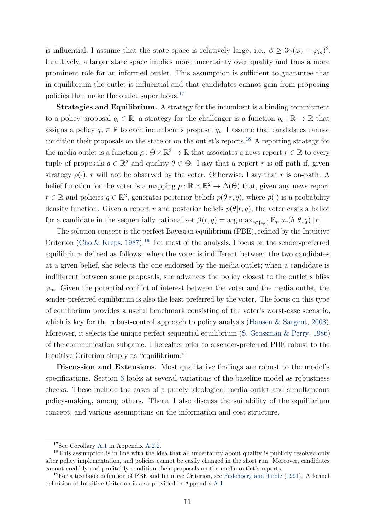is influential, I assume that the state space is relatively large, i.e.,  $\phi \geq 3\gamma(\varphi_v - \varphi_m)^2$ . Intuitively, a larger state space implies more uncertainty over quality and thus a more prominent role for an informed outlet. This assumption is sufficient to guarantee that in equilibrium the outlet is influential and that candidates cannot gain from proposing policies that make the outlet superfluous.<sup>17</sup>

Strategies and Equilibrium. A strategy for the incumbent is a binding commitment to a policy proposal  $q_i \in \mathbb{R}$ ; a strategy for the challenger is a function  $q_c : \mathbb{R} \to \mathbb{R}$  that assigns a policy  $q_c \in \mathbb{R}$  to each incumbent's proposal  $q_i$ . I assume that candidates cannot condition their proposals on the state or on the outlet's reports.<sup>18</sup> A reporting strategy for the media outlet is a function  $\rho : \Theta \times \mathbb{R}^2 \to \mathbb{R}$  that associates a news report  $r \in \mathbb{R}$  to every tuple of proposals  $q \in \mathbb{R}^2$  and quality  $\theta \in \Theta$ . I say that a report r is off-path if, given strategy  $\rho(\cdot)$ , r will not be observed by the voter. Otherwise, I say that r is on-path. A belief function for the voter is a mapping  $p : \mathbb{R} \times \mathbb{R}^2 \to \Delta(\Theta)$  that, given any news report  $r \in \mathbb{R}$  and policies  $q \in \mathbb{R}^2$ , generates posterior beliefs  $p(\theta | r, q)$ , where  $p(\cdot)$  is a probability density function. Given a report r and posterior beliefs  $p(\theta|r, q)$ , the voter casts a ballot for a candidate in the sequentially rational set  $\beta(r, q) = \arg \max_{b \in \{i, c\}} \mathbb{E}_p[u_v(b, \theta, q) | r].$ 

The solution concept is the perfect Bayesian equilibrium (PBE), refined by the Intuitive Criterion (Cho & Kreps, 1987).<sup>19</sup> For most of the analysis, I focus on the sender-preferred equilibrium defined as follows: when the voter is indifferent between the two candidates at a given belief, she selects the one endorsed by the media outlet; when a candidate is indifferent between some proposals, she advances the policy closest to the outlet's bliss  $\varphi_m$ . Given the potential conflict of interest between the voter and the media outlet, the sender-preferred equilibrium is also the least preferred by the voter. The focus on this type of equilibrium provides a useful benchmark consisting of the voter's worst-case scenario, which is key for the robust-control approach to policy analysis (Hansen & Sargent, 2008). Moreover, it selects the unique perfect sequential equilibrium (S. Grossman & Perry, 1986) of the communication subgame. I hereafter refer to a sender-preferred PBE robust to the Intuitive Criterion simply as "equilibrium."

Discussion and Extensions. Most qualitative findings are robust to the model's specifications. Section 6 looks at several variations of the baseline model as robustness checks. These include the cases of a purely ideological media outlet and simultaneous policy-making, among others. There, I also discuss the suitability of the equilibrium concept, and various assumptions on the information and cost structure.

<sup>17</sup>See Corollary A.1 in Appendix A.2.2.

<sup>&</sup>lt;sup>18</sup>This assumption is in line with the idea that all uncertainty about quality is publicly resolved only after policy implementation, and policies cannot be easily changed in the short run. Moreover, candidates cannot credibly and profitably condition their proposals on the media outlet's reports.

<sup>&</sup>lt;sup>19</sup>For a textbook definition of PBE and Intuitive Criterion, see Fudenberg and Tirole (1991). A formal definition of Intuitive Criterion is also provided in Appendix A.1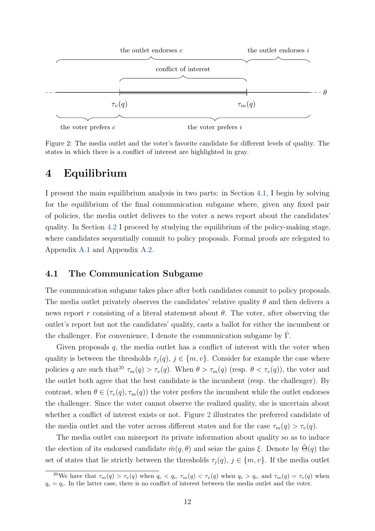

Figure 2: The media outlet and the voter's favorite candidate for different levels of quality. The states in which there is a conflict of interest are highlighted in gray.

### 4 Equilibrium

I present the main equilibrium analysis in two parts: in Section 4.1, I begin by solving for the equilibrium of the final communication subgame where, given any fixed pair of policies, the media outlet delivers to the voter a news report about the candidates' quality. In Section 4.2 I proceed by studying the equilibrium of the policy-making stage, where candidates sequentially commit to policy proposals. Formal proofs are relegated to Appendix A.1 and Appendix A.2.

#### 4.1 The Communication Subgame

The communication subgame takes place after both candidates commit to policy proposals. The media outlet privately observes the candidates' relative quality  $\theta$  and then delivers a news report r consisting of a literal statement about  $\theta$ . The voter, after observing the outlet's report but not the candidates' quality, casts a ballot for either the incumbent or the challenger. For convenience, I denote the communication subgame by  $\Gamma$ .

Given proposals  $q$ , the media outlet has a conflict of interest with the voter when quality is between the thresholds  $\tau_j(q)$ ,  $j \in \{m, v\}$ . Consider for example the case where policies q are such that<sup>20</sup>  $\tau_m(q) > \tau_v(q)$ . When  $\theta > \tau_m(q)$  (resp.  $\theta < \tau_v(q)$ ), the voter and the outlet both agree that the best candidate is the incumbent (resp. the challenger). By contrast, when  $\theta \in (\tau_v(q), \tau_m(q))$  the voter prefers the incumbent while the outlet endorses the challenger. Since the voter cannot observe the realized quality, she is uncertain about whether a conflict of interest exists or not. Figure 2 illustrates the preferred candidate of the media outlet and the voter across different states and for the case  $\tau_m(q) > \tau_v(q)$ .

The media outlet can misreport its private information about quality so as to induce the election of its endorsed candidate  $\hat{m}(q, \theta)$  and seize the gains ξ. Denote by  $\Theta(q)$  the set of states that lie strictly between the thresholds  $\tau_i(q)$ ,  $j \in \{m, v\}$ . If the media outlet

<sup>&</sup>lt;sup>20</sup>We have that  $\tau_m(q) > \tau_v(q)$  when  $q_c < q_i$ ,  $\tau_m(q) < \tau_v(q)$  when  $q_c > q_i$ , and  $\tau_m(q) = \tau_v(q)$  when  $q_c = q_i$ . In the latter case, there is no conflict of interest between the media outlet and the voter.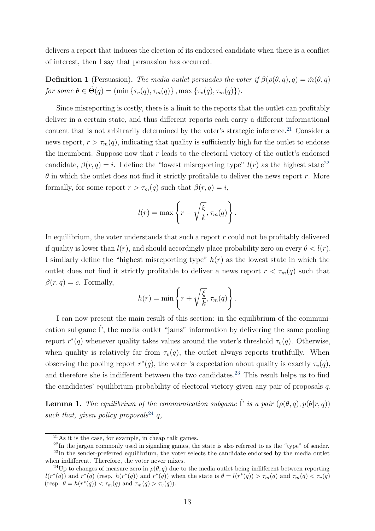delivers a report that induces the election of its endorsed candidate when there is a conflict of interest, then I say that persuasion has occurred.

**Definition 1** (Persuasion). The media outlet persuades the voter if  $\beta(\rho(\theta, q), q) = \hat{m}(\theta, q)$ for some  $\theta \in \hat{\Theta}(q) = (\min \{\tau_v(q), \tau_m(q)\}\,\max \{\tau_v(q), \tau_m(q)\}\).$ 

Since misreporting is costly, there is a limit to the reports that the outlet can profitably deliver in a certain state, and thus different reports each carry a different informational content that is not arbitrarily determined by the voter's strategic inference.<sup>21</sup> Consider a news report,  $r > \tau_m(q)$ , indicating that quality is sufficiently high for the outlet to endorse the incumbent. Suppose now that  $r$  leads to the electoral victory of the outlet's endorsed candidate,  $\beta(r, q) = i$ . I define the "lowest misreporting type"  $l(r)$  as the highest state<sup>22</sup>  $\theta$  in which the outlet does not find it strictly profitable to deliver the news report r. More formally, for some report  $r > \tau_m(q)$  such that  $\beta(r, q) = i$ ,

$$
l(r) = \max \left\{ r - \sqrt{\frac{\xi}{k}}, \tau_m(q) \right\}.
$$

In equilibrium, the voter understands that such a report  $r$  could not be profitably delivered if quality is lower than  $l(r)$ , and should accordingly place probability zero on every  $\theta < l(r)$ . I similarly define the "highest misreporting type"  $h(r)$  as the lowest state in which the outlet does not find it strictly profitable to deliver a news report  $r < \tau_m(q)$  such that  $\beta(r, q) = c$ . Formally,

$$
h(r) = \min \left\{ r + \sqrt{\frac{\xi}{k}}, \tau_m(q) \right\}.
$$

I can now present the main result of this section: in the equilibrium of the communication subgame  $\hat{\Gamma}$ , the media outlet "jams" information by delivering the same pooling report  $r^*(q)$  whenever quality takes values around the voter's threshold  $\tau_v(q)$ . Otherwise, when quality is relatively far from  $\tau_v(q)$ , the outlet always reports truthfully. When observing the pooling report  $r^*(q)$ , the voter 's expectation about quality is exactly  $\tau_v(q)$ , and therefore she is indifferent between the two candidates.<sup>23</sup> This result helps us to find the candidates' equilibrium probability of electoral victory given any pair of proposals q.

**Lemma 1.** The equilibrium of the communication subgame  $\hat{\Gamma}$  is a pair  $(\rho(\theta, a), p(\theta | r, a))$ such that, given policy proposals<sup>24</sup> q,

<sup>21</sup>As it is the case, for example, in cheap talk games.

<sup>22</sup>In the jargon commonly used in signaling games, the state is also referred to as the "type" of sender. <sup>23</sup>In the sender-preferred equilibrium, the voter selects the candidate endorsed by the media outlet when indifferent. Therefore, the voter never mixes.

<sup>&</sup>lt;sup>24</sup>Up to changes of measure zero in  $\rho(\theta, q)$  due to the media outlet being indifferent between reporting  $l(r^*(q))$  and  $r^*(q)$  (resp.  $h(r^*(q))$  and  $r^*(q))$  when the state is  $\theta = l(r^*(q)) > \tau_m(q)$  and  $\tau_m(q) < \tau_v(q)$ (resp.  $\theta = h(r^*(q)) < \tau_m(q)$  and  $\tau_m(q) > \tau_v(q)$ ).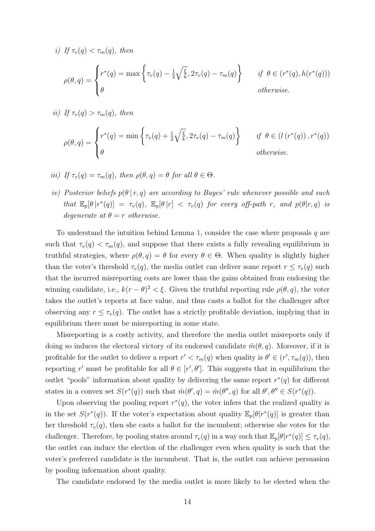i) If  $\tau_v(q) < \tau_m(q)$ , then

$$
\rho(\theta, q) = \begin{cases} r^*(q) = \max \left\{ \tau_v(q) - \frac{1}{2} \sqrt{\frac{\xi}{k}}, 2\tau_v(q) - \tau_m(q) \right\} & \text{if } \theta \in (r^*(q), h(r^*(q)))\\ \theta & \text{otherwise.} \end{cases}
$$

ii) If  $\tau_v(q) > \tau_m(q)$ , then

$$
\rho(\theta, q) = \begin{cases} r^*(q) = \min\left\{\tau_v(q) + \frac{1}{2}\sqrt{\frac{\xi}{k}}, 2\tau_v(q) - \tau_m(q)\right\} & \text{if } \theta \in (l\left(r^*(q)\right), r^*(q))\\ \theta & \text{otherwise.} \end{cases}
$$

- iii) If  $\tau_v(q) = \tau_m(q)$ , then  $\rho(\theta, q) = \theta$  for all  $\theta \in \Theta$ .
- iv) Posterior beliefs  $p(\theta | r, q)$  are according to Bayes' rule whenever possible and such that  $\mathbb{E}_p[\theta | r^*(q)] = \tau_v(q)$ ,  $\mathbb{E}_p[\theta | r] < \tau_v(q)$  for every off-path r, and  $p(\theta | r, q)$  is degenerate at  $\theta = r$  otherwise.

To understand the intuition behind Lemma 1, consider the case where proposals  $q$  are such that  $\tau_v(q) < \tau_m(q)$ , and suppose that there exists a fully revealing equilibrium in truthful strategies, where  $\rho(\theta, q) = \theta$  for every  $\theta \in \Theta$ . When quality is slightly higher than the voter's threshold  $\tau_v(q)$ , the media outlet can deliver some report  $r \leq \tau_v(q)$  such that the incurred misreporting costs are lower than the gains obtained from endorsing the winning candidate, i.e.,  $k(r - \theta)^2 < \xi$ . Given the truthful reporting rule  $\rho(\theta, q)$ , the voter takes the outlet's reports at face value, and thus casts a ballot for the challenger after observing any  $r \leq \tau_v(q)$ . The outlet has a strictly profitable deviation, implying that in equilibrium there must be misreporting in some state.

Misreporting is a costly activity, and therefore the media outlet misreports only if doing so induces the electoral victory of its endorsed candidate  $\hat{m}(\theta, q)$ . Moreover, if it is profitable for the outlet to deliver a report  $r' < \tau_m(q)$  when quality is  $\theta' \in (r', \tau_m(q))$ , then reporting r' must be profitable for all  $\theta \in [r', \theta']$ . This suggests that in equilibrium the outlet "pools" information about quality by delivering the same report  $r^*(q)$  for different states in a convex set  $S(r^*(q))$  such that  $\hat{m}(\theta', q) = \hat{m}(\theta'', q)$  for all  $\theta', \theta'' \in S(r^*(q))$ .

Upon observing the pooling report  $r^*(q)$ , the voter infers that the realized quality is in the set  $S(r^*(q))$ . If the voter's expectation about quality  $\mathbb{E}_p[\theta|r^*(q)]$  is greater than her threshold  $\tau_v(q)$ , then she casts a ballot for the incumbent; otherwise she votes for the challenger. Therefore, by pooling states around  $\tau_v(q)$  in a way such that  $\mathbb{E}_p[\theta | r^*(q)] \leq \tau_v(q)$ , the outlet can induce the election of the challenger even when quality is such that the voter's preferred candidate is the incumbent. That is, the outlet can achieve persuasion by pooling information about quality.

The candidate endorsed by the media outlet is more likely to be elected when the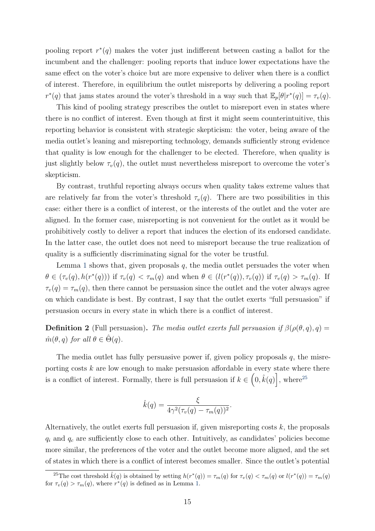pooling report  $r^*(q)$  makes the voter just indifferent between casting a ballot for the incumbent and the challenger: pooling reports that induce lower expectations have the same effect on the voter's choice but are more expensive to deliver when there is a conflict of interest. Therefore, in equilibrium the outlet misreports by delivering a pooling report  $r^*(q)$  that jams states around the voter's threshold in a way such that  $\mathbb{E}_p[\theta|r^*(q)] = \tau_v(q)$ .

This kind of pooling strategy prescribes the outlet to misreport even in states where there is no conflict of interest. Even though at first it might seem counterintuitive, this reporting behavior is consistent with strategic skepticism: the voter, being aware of the media outlet's leaning and misreporting technology, demands sufficiently strong evidence that quality is low enough for the challenger to be elected. Therefore, when quality is just slightly below  $\tau_v(q)$ , the outlet must nevertheless misreport to overcome the voter's skepticism.

By contrast, truthful reporting always occurs when quality takes extreme values that are relatively far from the voter's threshold  $\tau_v(q)$ . There are two possibilities in this case: either there is a conflict of interest, or the interests of the outlet and the voter are aligned. In the former case, misreporting is not convenient for the outlet as it would be prohibitively costly to deliver a report that induces the election of its endorsed candidate. In the latter case, the outlet does not need to misreport because the true realization of quality is a sufficiently discriminating signal for the voter be trustful.

Lemma 1 shows that, given proposals  $q$ , the media outlet persuades the voter when  $\theta \in (\tau_v(q), h(r^*(q)))$  if  $\tau_v(q) < \tau_m(q)$  and when  $\theta \in (l(r^*(q)), \tau_v(q))$  if  $\tau_v(q) > \tau_m(q)$ . If  $\tau_v(q) = \tau_m(q)$ , then there cannot be persuasion since the outlet and the voter always agree on which candidate is best. By contrast, I say that the outlet exerts "full persuasion" if persuasion occurs in every state in which there is a conflict of interest.

**Definition 2** (Full persuasion). The media outlet exerts full persuasion if  $\beta(\rho(\theta, q), q) =$  $\hat{m}(\theta, q)$  for all  $\theta \in \hat{\Theta}(q)$ .

The media outlet has fully persuasive power if, given policy proposals  $q$ , the misreporting costs  $k$  are low enough to make persuasion affordable in every state where there is a conflict of interest. Formally, there is full persuasion if  $k \in (0, \hat{k}(q))$ , where<sup>25</sup>

$$
\hat{k}(q) = \frac{\xi}{4\gamma^2(\tau_v(q) - \tau_m(q))^2}.
$$

Alternatively, the outlet exerts full persuasion if, given misreporting costs  $k$ , the proposals  $q_i$  and  $q_c$  are sufficiently close to each other. Intuitively, as candidates' policies become more similar, the preferences of the voter and the outlet become more aligned, and the set of states in which there is a conflict of interest becomes smaller. Since the outlet's potential

<sup>&</sup>lt;sup>25</sup>The cost threshold  $\hat{k}(q)$  is obtained by setting  $h(r^*(q)) = \tau_m(q)$  for  $\tau_v(q) < \tau_m(q)$  or  $l(r^*(q)) = \tau_m(q)$ for  $\tau_v(q) > \tau_m(q)$ , where  $r^*(q)$  is defined as in Lemma 1.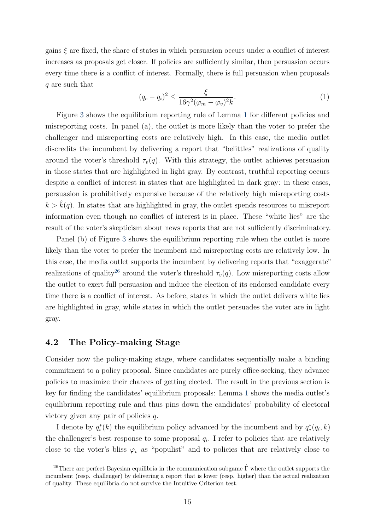gains  $\xi$  are fixed, the share of states in which persuasion occurs under a conflict of interest increases as proposals get closer. If policies are sufficiently similar, then persuasion occurs every time there is a conflict of interest. Formally, there is full persuasion when proposals q are such that

$$
(q_c - q_i)^2 \le \frac{\xi}{16\gamma^2(\varphi_m - \varphi_v)^2 k}.\tag{1}
$$

Figure 3 shows the equilibrium reporting rule of Lemma 1 for different policies and misreporting costs. In panel (a), the outlet is more likely than the voter to prefer the challenger and misreporting costs are relatively high. In this case, the media outlet discredits the incumbent by delivering a report that "belittles" realizations of quality around the voter's threshold  $\tau_v(q)$ . With this strategy, the outlet achieves persuasion in those states that are highlighted in light gray. By contrast, truthful reporting occurs despite a conflict of interest in states that are highlighted in dark gray: in these cases, persuasion is prohibitively expensive because of the relatively high misreporting costs  $k > \hat{k}(q)$ . In states that are highlighted in gray, the outlet spends resources to misreport information even though no conflict of interest is in place. These "white lies" are the result of the voter's skepticism about news reports that are not sufficiently discriminatory.

Panel (b) of Figure 3 shows the equilibrium reporting rule when the outlet is more likely than the voter to prefer the incumbent and misreporting costs are relatively low. In this case, the media outlet supports the incumbent by delivering reports that "exaggerate" realizations of quality<sup>26</sup> around the voter's threshold  $\tau_v(q)$ . Low misreporting costs allow the outlet to exert full persuasion and induce the election of its endorsed candidate every time there is a conflict of interest. As before, states in which the outlet delivers white lies are highlighted in gray, while states in which the outlet persuades the voter are in light gray.

### 4.2 The Policy-making Stage

Consider now the policy-making stage, where candidates sequentially make a binding commitment to a policy proposal. Since candidates are purely office-seeking, they advance policies to maximize their chances of getting elected. The result in the previous section is key for finding the candidates' equilibrium proposals: Lemma 1 shows the media outlet's equilibrium reporting rule and thus pins down the candidates' probability of electoral victory given any pair of policies  $q$ .

I denote by  $q_i^*(k)$  the equilibrium policy advanced by the incumbent and by  $q_c^*(q_i, k)$ the challenger's best response to some proposal  $q_i$ . I refer to policies that are relatively close to the voter's bliss  $\varphi_v$  as "populist" and to policies that are relatively close to

<sup>&</sup>lt;sup>26</sup>There are perfect Bayesian equilibria in the communication subgame  $\hat{\Gamma}$  where the outlet supports the incumbent (resp. challenger) by delivering a report that is lower (resp. higher) than the actual realization of quality. These equilibria do not survive the Intuitive Criterion test.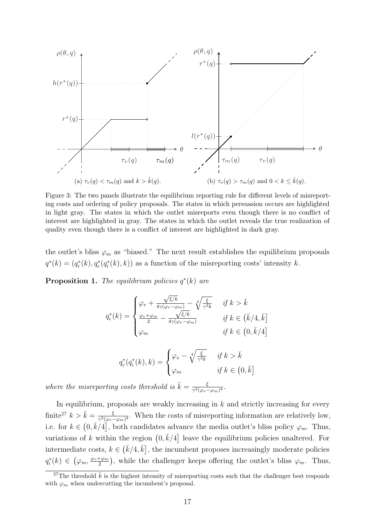

Figure 3: The two panels illustrate the equilibrium reporting rule for different levels of misreporting costs and ordering of policy proposals. The states in which persuasion occurs are highlighted in light gray. The states in which the outlet misreports even though there is no conflict of interest are highlighted in gray. The states in which the outlet reveals the true realization of quality even though there is a conflict of interest are highlighted in dark gray.

the outlet's bliss  $\varphi_m$  as "biased." The next result establishes the equilibrium proposals  $q^*(k) = (q_i^*(k), q_c^*(q_i^*(k), k))$  as a function of the misreporting costs' intensity k.

**Proposition 1.** The equilibrium policies  $q^*(k)$  are

$$
q_i^*(k) = \begin{cases} \varphi_v + \frac{\sqrt{\xi/k}}{4\gamma(\varphi_v - \varphi_m)} - \sqrt[4]{\frac{\xi}{\gamma^2 k}} & \text{if } k > \bar{k} \\ \frac{\varphi_v + \varphi_m}{2} - \frac{\sqrt{\xi/k}}{4\gamma(\varphi_v - \varphi_m)} & \text{if } k \in (\bar{k}/4, \bar{k}] \\ \varphi_m & \text{if } k \in (0, \bar{k}/4] \end{cases}
$$

$$
q_c^*(q_i^*(k), k) = \begin{cases} \varphi_v - \sqrt[4]{\frac{\xi}{\gamma^2 k}} & \text{if } k > \bar{k} \\ \varphi_m & \text{if } k \in \left(0, \bar{k}\right] \end{cases}
$$

where the misreporting costs threshold is  $\bar{k} = \frac{\xi}{\gamma^2 (g_{0z} + g_{0z} + g_{0z})}$  $\frac{\xi}{\gamma^2(\varphi_v-\varphi_m)^4}.$ 

In equilibrium, proposals are weakly increasing in  $k$  and strictly increasing for every finite<sup>27</sup>  $k > \bar{k} = \frac{\xi}{\gamma^2 (\omega - \xi)}$  $\frac{\xi}{\gamma^2(\varphi_v-\varphi_m)^4}$ . When the costs of misreporting information are relatively low, i.e. for  $k \in (0, \bar{k}/4]$ , both candidates advance the media outlet's bliss policy  $\varphi_m$ . Thus, variations of k within the region  $(0, \bar{k}/4]$  leave the equilibrium policies unaltered. For intermediate costs,  $k \in \left(\bar{k}/4, \bar{k}\right]$ , the incumbent proposes increasingly moderate policies  $q_i^*(k) \in \left(\varphi_m, \frac{\varphi_v + \varphi_m}{2}\right)$  $(\frac{1}{2})^{\frac{1}{2}}$ , while the challenger keeps offering the outlet's bliss  $\varphi_m$ . Thus,

<sup>&</sup>lt;sup>27</sup>The threshold  $\bar{k}$  is the highest intensity of misreporting costs such that the challenger best responds with  $\varphi_m$  when undercutting the incumbent's proposal.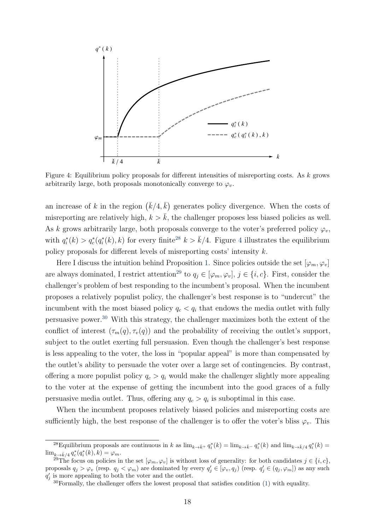

Figure 4: Equilibrium policy proposals for different intensities of misreporting costs. As k grows arbitrarily large, both proposals monotonically converge to  $\varphi_v$ .

an increase of k in the region  $(\bar{k}/4, \bar{k})$  generates policy divergence. When the costs of misreporting are relatively high,  $k > \bar{k}$ , the challenger proposes less biased policies as well. As k grows arbitrarily large, both proposals converge to the voter's preferred policy  $\varphi_v$ , with  $q_i^*(k) > q_c^*(q_i^*(k), k)$  for every finite<sup>28</sup>  $k > \bar{k}/4$ . Figure 4 illustrates the equilibrium policy proposals for different levels of misreporting costs' intensity k.

Here I discuss the intuition behind Proposition 1. Since policies outside the set  $[\varphi_m, \varphi_v]$ are always dominated, I restrict attention<sup>29</sup> to  $q_i \in [\varphi_m, \varphi_v]$ ,  $j \in \{i, c\}$ . First, consider the challenger's problem of best responding to the incumbent's proposal. When the incumbent proposes a relatively populist policy, the challenger's best response is to "undercut" the incumbent with the most biased policy  $q_c < q_i$  that endows the media outlet with fully persuasive power.<sup>30</sup> With this strategy, the challenger maximizes both the extent of the conflict of interest  $(\tau_m(q), \tau_v(q))$  and the probability of receiving the outlet's support, subject to the outlet exerting full persuasion. Even though the challenger's best response is less appealing to the voter, the loss in "popular appeal" is more than compensated by the outlet's ability to persuade the voter over a large set of contingencies. By contrast, offering a more populist policy  $q_c > q_i$  would make the challenger slightly more appealing to the voter at the expense of getting the incumbent into the good graces of a fully persuasive media outlet. Thus, offering any  $q_c > q_i$  is suboptimal in this case.

When the incumbent proposes relatively biased policies and misreporting costs are sufficiently high, the best response of the challenger is to offer the voter's bliss  $\varphi_v$ . This

<sup>&</sup>lt;sup>28</sup>Equilibrium proposals are continuous in k as  $\lim_{k\to \bar{k}^+} q_i^*(k) = \lim_{k\to \bar{k}^-} q_i^*(k)$  and  $\lim_{k\to \bar{k}/4} q_i^*(k) =$  $\lim_{k \to \bar{k}/4} q_c^*(q_i^*(k), k) = \varphi_m.$ 

<sup>&</sup>lt;sup>29</sup>The focus on policies in the set  $[\varphi_m, \varphi_v]$  is without loss of generality: for both candidates  $j \in \{i, c\}$ , proposals  $q_j > \varphi_v$  (resp.  $q_j < \varphi_m$ ) are dominated by every  $q'_j \in [\varphi_v, q_j)$  (resp.  $q'_j \in (q_j, \varphi_m]$ ) as any such  $q'_{j}$  is more appealing to both the voter and the outlet.

 $30$ Formally, the challenger offers the lowest proposal that satisfies condition (1) with equality.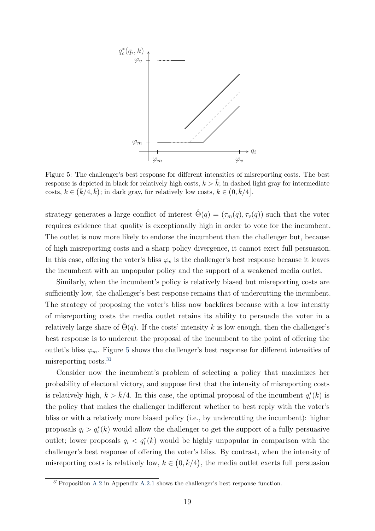

Figure 5: The challenger's best response for different intensities of misreporting costs. The best response is depicted in black for relatively high costs,  $k > \bar{k}$ ; in dashed light gray for intermediate costs,  $k \in (\bar{k}/4, \bar{k})$ ; in dark gray, for relatively low costs,  $k \in (0, \bar{k}/4]$ .

strategy generates a large conflict of interest  $\hat{\Theta}(q) = (\tau_m(q), \tau_v(q))$  such that the voter requires evidence that quality is exceptionally high in order to vote for the incumbent. The outlet is now more likely to endorse the incumbent than the challenger but, because of high misreporting costs and a sharp policy divergence, it cannot exert full persuasion. In this case, offering the voter's bliss  $\varphi_v$  is the challenger's best response because it leaves the incumbent with an unpopular policy and the support of a weakened media outlet.

Similarly, when the incumbent's policy is relatively biased but misreporting costs are sufficiently low, the challenger's best response remains that of undercutting the incumbent. The strategy of proposing the voter's bliss now backfires because with a low intensity of misreporting costs the media outlet retains its ability to persuade the voter in a relatively large share of  $\hat{\Theta}(q)$ . If the costs' intensity k is low enough, then the challenger's best response is to undercut the proposal of the incumbent to the point of offering the outlet's bliss  $\varphi_m$ . Figure 5 shows the challenger's best response for different intensities of misreporting costs.<sup>31</sup>

Consider now the incumbent's problem of selecting a policy that maximizes her probability of electoral victory, and suppose first that the intensity of misreporting costs is relatively high,  $k > \bar{k}/4$ . In this case, the optimal proposal of the incumbent  $q_i^*(k)$  is the policy that makes the challenger indifferent whether to best reply with the voter's bliss or with a relatively more biased policy (i.e., by undercutting the incumbent): higher proposals  $q_i > q_i^*(k)$  would allow the challenger to get the support of a fully persuasive outlet; lower proposals  $q_i < q_i^*(k)$  would be highly unpopular in comparison with the challenger's best response of offering the voter's bliss. By contrast, when the intensity of misreporting costs is relatively low,  $k \in (0, \bar{k}/4)$ , the media outlet exerts full persuasion

<sup>31</sup>Proposition A.2 in Appendix A.2.1 shows the challenger's best response function.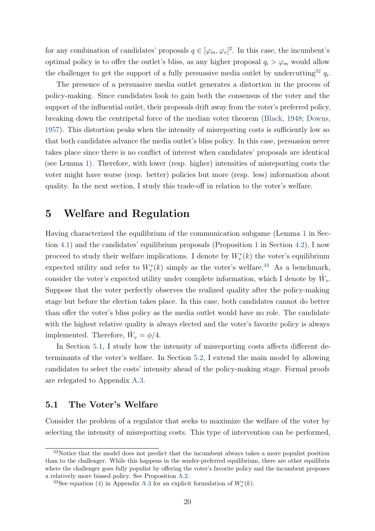for any combination of candidates' proposals  $q \in [\varphi_m, \varphi_v]^2$ . In this case, the incumbent's optimal policy is to offer the outlet's bliss, as any higher proposal  $q_i > \varphi_m$  would allow the challenger to get the support of a fully persuasive media outlet by undercutting<sup>32</sup>  $q_i$ .

The presence of a persuasive media outlet generates a distortion in the process of policy-making. Since candidates look to gain both the consensus of the voter and the support of the influential outlet, their proposals drift away from the voter's preferred policy, breaking down the centripetal force of the median voter theorem (Black, 1948; Downs, 1957). This distortion peaks when the intensity of misreporting costs is sufficiently low so that both candidates advance the media outlet's bliss policy. In this case, persuasion never takes place since there is no conflict of interest when candidates' proposals are identical (see Lemma 1). Therefore, with lower (resp. higher) intensities of misreporting costs the voter might have worse (resp. better) policies but more (resp. less) information about quality. In the next section, I study this trade-off in relation to the voter's welfare.

### 5 Welfare and Regulation

Having characterized the equilibrium of the communication subgame (Lemma 1 in Section 4.1) and the candidates' equilibrium proposals (Proposition 1 in Section 4.2), I now proceed to study their welfare implications. I denote by  $W^*_v(k)$  the voter's equilibrium expected utility and refer to  $W_v^*(k)$  simply as the voter's welfare.<sup>33</sup> As a benchmark, consider the voter's expected utility under complete information, which I denote by  $\hat{W}_v$ . Suppose that the voter perfectly observes the realized quality after the policy-making stage but before the election takes place. In this case, both candidates cannot do better than offer the voter's bliss policy as the media outlet would have no role. The candidate with the highest relative quality is always elected and the voter's favorite policy is always implemented. Therefore,  $\hat{W}_v = \phi/4$ .

In Section 5.1, I study how the intensity of misreporting costs affects different determinants of the voter's welfare. In Section 5.2, I extend the main model by allowing candidates to select the costs' intensity ahead of the policy-making stage. Formal proofs are relegated to Appendix A.3.

### 5.1 The Voter's Welfare

Consider the problem of a regulator that seeks to maximize the welfare of the voter by selecting the intensity of misreporting costs. This type of intervention can be performed,

<sup>&</sup>lt;sup>32</sup>Notice that the model does not predict that the incumbent always takes a more populist position than to the challenger. While this happens in the sender-preferred equilibrium, there are other equilibria where the challenger goes fully populist by offering the voter's favorite policy and the incumbent proposes a relatively more biased policy. See Proposition A.2.

<sup>&</sup>lt;sup>33</sup>See equation (4) in Appendix A.3 for an explicit formulation of  $W_v^*(k)$ .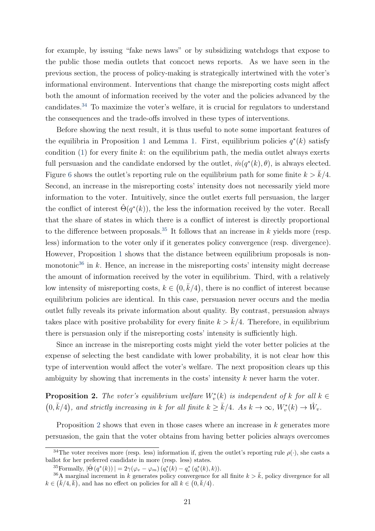for example, by issuing "fake news laws" or by subsidizing watchdogs that expose to the public those media outlets that concoct news reports. As we have seen in the previous section, the process of policy-making is strategically intertwined with the voter's informational environment. Interventions that change the misreporting costs might affect both the amount of information received by the voter and the policies advanced by the candidates.<sup>34</sup> To maximize the voter's welfare, it is crucial for regulators to understand the consequences and the trade-offs involved in these types of interventions.

Before showing the next result, it is thus useful to note some important features of the equilibria in Proposition 1 and Lemma 1. First, equilibrium policies  $q^*(k)$  satisfy condition  $(1)$  for every finite k: on the equilibrium path, the media outlet always exerts full persuasion and the candidate endorsed by the outlet,  $\hat{m}(q^*(k), \theta)$ , is always elected. Figure 6 shows the outlet's reporting rule on the equilibrium path for some finite  $k > \bar{k}/4$ . Second, an increase in the misreporting costs' intensity does not necessarily yield more information to the voter. Intuitively, since the outlet exerts full persuasion, the larger the conflict of interest  $\hat{\Theta}(q^*(k))$ , the less the information received by the voter. Recall that the share of states in which there is a conflict of interest is directly proportional to the difference between proposals.<sup>35</sup> It follows that an increase in k yields more (resp. less) information to the voter only if it generates policy convergence (resp. divergence). However, Proposition 1 shows that the distance between equilibrium proposals is nonmonotonic<sup>36</sup> in k. Hence, an increase in the misreporting costs' intensity might decrease the amount of information received by the voter in equilibrium. Third, with a relatively low intensity of misreporting costs,  $k \in (0, \bar{k}/4)$ , there is no conflict of interest because equilibrium policies are identical. In this case, persuasion never occurs and the media outlet fully reveals its private information about quality. By contrast, persuasion always takes place with positive probability for every finite  $k > \bar{k}/4$ . Therefore, in equilibrium there is persuasion only if the misreporting costs' intensity is sufficiently high.

Since an increase in the misreporting costs might yield the voter better policies at the expense of selecting the best candidate with lower probability, it is not clear how this type of intervention would affect the voter's welfare. The next proposition clears up this ambiguity by showing that increments in the costs' intensity k never harm the voter.

**Proposition 2.** The voter's equilibrium welfare  $W_v^*(k)$  is independent of k for all  $k \in$  $(0, \bar{k}/4)$ , and strictly increasing in k for all finite  $k \ge \bar{k}/4$ . As  $k \to \infty$ ,  $W_v^*(k) \to \hat{W}_v$ .

Proposition 2 shows that even in those cases where an increase in k generates more persuasion, the gain that the voter obtains from having better policies always overcomes

<sup>&</sup>lt;sup>34</sup>The voter receives more (resp. less) information if, given the outlet's reporting rule  $\rho(\cdot)$ , she casts a ballot for her preferred candidate in more (resp. less) states.

<sup>&</sup>lt;sup>35</sup>Formally,  $|\hat{\Theta}(q^*(k))| = 2\gamma(\varphi_v - \varphi_m)(q_i^*(k) - q_c^*(q_i^*(k), k)).$ 

<sup>&</sup>lt;sup>36</sup>A marginal increment in k generates policy convergence for all finite  $k > \bar{k}$ , policy divergence for all  $k \in (\bar{k}/4, \bar{k})$ , and has no effect on policies for all  $k \in (0, \bar{k}/4)$ .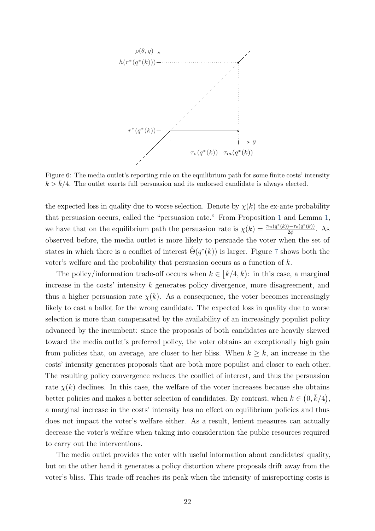

Figure 6: The media outlet's reporting rule on the equilibrium path for some finite costs' intensity  $k > \bar{k}/4$ . The outlet exerts full persuasion and its endorsed candidate is always elected.

the expected loss in quality due to worse selection. Denote by  $\chi(k)$  the ex-ante probability that persuasion occurs, called the "persuasion rate." From Proposition 1 and Lemma 1, we have that on the equilibrium path the persuasion rate is  $\chi(k) = \frac{\tau_m(q^*(k)) - \tau_v(q^*(k))}{2\phi}$  $rac{1-\tau_v(q^-(\kappa))}{2\phi}$ . As observed before, the media outlet is more likely to persuade the voter when the set of states in which there is a conflict of interest  $\hat{\Theta}(q^*(k))$  is larger. Figure 7 shows both the voter's welfare and the probability that persuasion occurs as a function of  $k$ .

The policy/information trade-off occurs when  $k \in \left[\bar{k}/4, \bar{k}\right)$ : in this case, a marginal increase in the costs' intensity k generates policy divergence, more disagreement, and thus a higher persuasion rate  $\chi(k)$ . As a consequence, the voter becomes increasingly likely to cast a ballot for the wrong candidate. The expected loss in quality due to worse selection is more than compensated by the availability of an increasingly populist policy advanced by the incumbent: since the proposals of both candidates are heavily skewed toward the media outlet's preferred policy, the voter obtains an exceptionally high gain from policies that, on average, are closer to her bliss. When  $k \geq k$ , an increase in the costs' intensity generates proposals that are both more populist and closer to each other. The resulting policy convergence reduces the conflict of interest, and thus the persuasion rate  $\chi(k)$  declines. In this case, the welfare of the voter increases because she obtains better policies and makes a better selection of candidates. By contrast, when  $k \in (0, \bar{k}/4)$ , a marginal increase in the costs' intensity has no effect on equilibrium policies and thus does not impact the voter's welfare either. As a result, lenient measures can actually decrease the voter's welfare when taking into consideration the public resources required to carry out the interventions.

The media outlet provides the voter with useful information about candidates' quality, but on the other hand it generates a policy distortion where proposals drift away from the voter's bliss. This trade-off reaches its peak when the intensity of misreporting costs is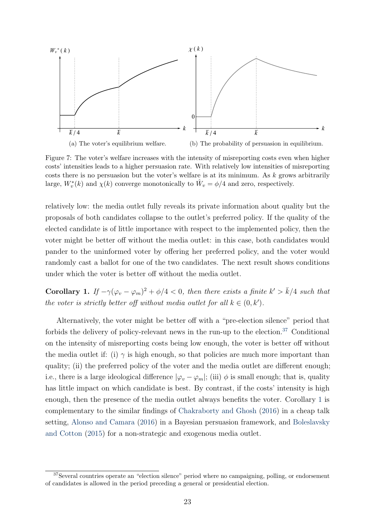

Figure 7: The voter's welfare increases with the intensity of misreporting costs even when higher costs' intensities leads to a higher persuasion rate. With relatively low intensities of misreporting costs there is no persuasion but the voter's welfare is at its minimum. As  $k$  grows arbitrarily large,  $W_v^*(k)$  and  $\chi(k)$  converge monotonically to  $\hat{W}_v = \phi/4$  and zero, respectively.

relatively low: the media outlet fully reveals its private information about quality but the proposals of both candidates collapse to the outlet's preferred policy. If the quality of the elected candidate is of little importance with respect to the implemented policy, then the voter might be better off without the media outlet: in this case, both candidates would pander to the uninformed voter by offering her preferred policy, and the voter would randomly cast a ballot for one of the two candidates. The next result shows conditions under which the voter is better off without the media outlet.

Corollary 1. If  $-\gamma(\varphi_v - \varphi_m)^2 + \phi/4 < 0$ , then there exists a finite  $k' > \bar{k}/4$  such that the voter is strictly better off without media outlet for all  $k \in (0, k')$ .

Alternatively, the voter might be better off with a "pre-election silence" period that forbids the delivery of policy-relevant news in the run-up to the election. $37$  Conditional on the intensity of misreporting costs being low enough, the voter is better off without the media outlet if: (i)  $\gamma$  is high enough, so that policies are much more important than quality; (ii) the preferred policy of the voter and the media outlet are different enough; i.e., there is a large ideological difference  $|\varphi_v - \varphi_m|$ ; (iii)  $\phi$  is small enough; that is, quality has little impact on which candidate is best. By contrast, if the costs' intensity is high enough, then the presence of the media outlet always benefits the voter. Corollary 1 is complementary to the similar findings of Chakraborty and Ghosh (2016) in a cheap talk setting, Alonso and Camara (2016) in a Bayesian persuasion framework, and Boleslavsky and Cotton (2015) for a non-strategic and exogenous media outlet.

<sup>37</sup>Several countries operate an "election silence" period where no campaigning, polling, or endorsement of candidates is allowed in the period preceding a general or presidential election.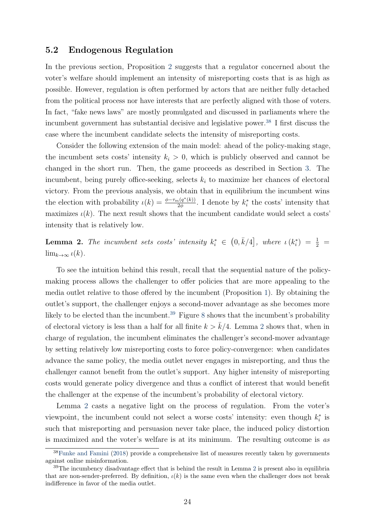#### 5.2 Endogenous Regulation

In the previous section, Proposition 2 suggests that a regulator concerned about the voter's welfare should implement an intensity of misreporting costs that is as high as possible. However, regulation is often performed by actors that are neither fully detached from the political process nor have interests that are perfectly aligned with those of voters. In fact, "fake news laws" are mostly promulgated and discussed in parliaments where the incumbent government has substantial decisive and legislative power.<sup>38</sup> I first discuss the case where the incumbent candidate selects the intensity of misreporting costs.

Consider the following extension of the main model: ahead of the policy-making stage, the incumbent sets costs' intensity  $k_i > 0$ , which is publicly observed and cannot be changed in the short run. Then, the game proceeds as described in Section 3. The incumbent, being purely office-seeking, selects  $k_i$  to maximize her chances of electoral victory. From the previous analysis, we obtain that in equilibrium the incumbent wins the election with probability  $\iota(k) = \frac{\phi - \tau_m(q^*(k))}{2\phi}$  $\frac{1}{2\phi} \frac{(q^*(k))}{2\phi}$ . I denote by  $k_i^*$  the costs' intensity that maximizes  $\iota(k)$ . The next result shows that the incumbent candidate would select a costs' intensity that is relatively low.

**Lemma 2.** The incumbent sets costs' intensity  $k_i^* \in (0, \bar{k}/4]$ , where  $\iota(k_i^*) = \frac{1}{2}$  $\lim_{k\to\infty}$   $\iota(k)$ .

To see the intuition behind this result, recall that the sequential nature of the policymaking process allows the challenger to offer policies that are more appealing to the media outlet relative to those offered by the incumbent (Proposition 1). By obtaining the outlet's support, the challenger enjoys a second-mover advantage as she becomes more likely to be elected than the incumbent.<sup>39</sup> Figure 8 shows that the incumbent's probability of electoral victory is less than a half for all finite  $k > \bar{k}/4$ . Lemma 2 shows that, when in charge of regulation, the incumbent eliminates the challenger's second-mover advantage by setting relatively low misreporting costs to force policy-convergence: when candidates advance the same policy, the media outlet never engages in misreporting, and thus the challenger cannot benefit from the outlet's support. Any higher intensity of misreporting costs would generate policy divergence and thus a conflict of interest that would benefit the challenger at the expense of the incumbent's probability of electoral victory.

Lemma 2 casts a negative light on the process of regulation. From the voter's viewpoint, the incumbent could not select a worse costs' intensity: even though  $k_i^*$  is such that misreporting and persuasion never take place, the induced policy distortion is maximized and the voter's welfare is at its minimum. The resulting outcome is as

<sup>38</sup>Funke and Famini (2018) provide a comprehensive list of measures recently taken by governments against online misinformation.

 $39$ The incumbency disadvantage effect that is behind the result in Lemma 2 is present also in equilibria that are non-sender-preferred. By definition,  $\iota(k)$  is the same even when the challenger does not break indifference in favor of the media outlet.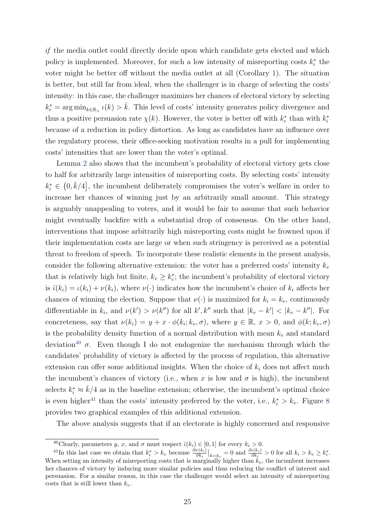if the media outlet could directly decide upon which candidate gets elected and which policy is implemented. Moreover, for such a low intensity of misreporting costs  $k_i^*$  the voter might be better off without the media outlet at all (Corollary 1). The situation is better, but still far from ideal, when the challenger is in charge of selecting the costs' intensity: in this case, the challenger maximizes her chances of electoral victory by selecting  $k_c^* = \arg \min_{k \in \mathbb{R}_+} \iota(k) > \bar{k}$ . This level of costs' intensity generates policy divergence and thus a positive persuasion rate  $\chi(k)$ . However, the voter is better off with  $k_c^*$  than with  $k_i^*$ because of a reduction in policy distortion. As long as candidates have an influence over the regulatory process, their office-seeking motivation results in a pull for implementing costs' intensities that are lower than the voter's optimal.

Lemma 2 also shows that the incumbent's probability of electoral victory gets close to half for arbitrarily large intensities of misreporting costs. By selecting costs' intensity  $k_i^* \in (0, \bar{k}/4]$ , the incumbent deliberately compromises the voter's welfare in order to increase her chances of winning just by an arbitrarily small amount. This strategy is arguably unappealing to voters, and it would be fair to assume that such behavior might eventually backfire with a substantial drop of consensus. On the other hand, interventions that impose arbitrarily high misreporting costs might be frowned upon if their implementation costs are large or when such stringency is perceived as a potential threat to freedom of speech. To incorporate these realistic elements in the present analysis, consider the following alternative extension: the voter has a preferred costs' intensity  $k_v$ that is relatively high but finite,  $k_v \geq k_c^*$ ; the incumbent's probability of electoral victory is  $\hat{\iota}(k_i) = \iota(k_i) + \nu(k_i)$ , where  $\nu(\cdot)$  indicates how the incumbent's choice of  $k_i$  affects her chances of winning the election. Suppose that  $\nu(\cdot)$  is maximized for  $k_i = k_v$ , continuously differentiable in  $k_i$ , and  $\nu(k') > \nu(k'')$  for all  $k', k''$  such that  $|k_v - k'| < |k_v - k''|$ . For concreteness, say that  $\nu(k_i) = y + x \cdot \phi(k_i; k_v, \sigma)$ , where  $y \in \mathbb{R}$ ,  $x > 0$ , and  $\phi(k; k_v, \sigma)$ is the probability density function of a normal distribution with mean  $k_v$  and standard deviation<sup>40</sup>  $\sigma$ . Even though I do not endogenize the mechanism through which the candidates' probability of victory is affected by the process of regulation, this alternative extension can offer some additional insights. When the choice of  $k_i$  does not affect much the incumbent's chances of victory (i.e., when x is low and  $\sigma$  is high), the incumbent selects  $k_i^* \approx \bar{k}/4$  as in the baseline extension; otherwise, the incumbent's optimal choice is even higher<sup>41</sup> than the costs' intensity preferred by the voter, i.e.,  $k_i^* > k_v$ . Figure 8 provides two graphical examples of this additional extension.

The above analysis suggests that if an electorate is highly concerned and responsive

<sup>&</sup>lt;sup>40</sup>Clearly, parameters y, x, and  $\sigma$  must respect  $\hat{\iota}(k_i) \in [0,1]$  for every  $k_i > 0$ .

<sup>&</sup>lt;sup>41</sup>In this last case we obtain that  $k_i^* > k_v$  because  $\frac{\partial \nu(k_i)}{\partial k_i}\Big|_{k=k_v} = 0$  and  $\frac{\partial \nu(k_i)}{\partial k_i} > 0$  for all  $k_i > k_v \geq k_c^*$ . When setting an intensity of misreporting costs that is marginally higher than  $k_v$ , the incumbent increases her chances of victory by inducing more similar policies and thus reducing the conflict of interest and persuasion. For a similar reason, in this case the challenger would select an intensity of misreporting costs that is still lower than  $k_v$ .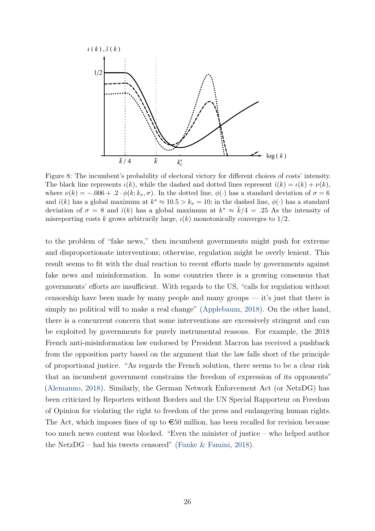

Figure 8: The incumbent's probability of electoral victory for different choices of costs' intensity. The black line represents  $\iota(k)$ , while the dashed and dotted lines represent  $\hat{\iota}(k) = \iota(k) + \nu(k)$ , where  $\nu(k) = -0.006 + 0.2 \cdot \phi(k; k_v, \sigma)$ . In the dotted line,  $\phi(\cdot)$  has a standard deviation of  $\sigma = 6$ and  $\hat{\iota}(k)$  has a global maximum at  $k^* \approx 10.5 > k_v = 10$ ; in the dashed line,  $\phi(\cdot)$  has a standard deviation of  $\sigma = 8$  and  $\hat{\iota}(k)$  has a global maximum at  $k^* \approx \bar{k}/4 = .25$  As the intensity of misreporting costs k grows arbitrarily large,  $\iota(k)$  monotonically converges to 1/2.

to the problem of "fake news," then incumbent governments might push for extreme and disproportionate interventions; otherwise, regulation might be overly lenient. This result seems to fit with the dual reaction to recent efforts made by governments against fake news and misinformation. In some countries there is a growing consensus that governments' efforts are insufficient. With regards to the US, "calls for regulation without censorship have been made by many people and many groups — it's just that there is simply no political will to make a real change" (Applebaum, 2018). On the other hand, there is a concurrent concern that some interventions are excessively stringent and can be exploited by governments for purely instrumental reasons. For example, the 2018 French anti-misinformation law endorsed by President Macron has received a pushback from the opposition party based on the argument that the law falls short of the principle of proportional justice. "As regards the French solution, there seems to be a clear risk that an incumbent government constrains the freedom of expression of its opponents" (Alemanno, 2018). Similarly, the German Network Enforcement Act (or NetzDG) has been criticized by Reporters without Borders and the UN Special Rapporteur on Freedom of Opinion for violating the right to freedom of the press and endangering human rights. The Act, which imposes fines of up to  $\epsilon$ 50 million, has been recalled for revision because too much news content was blocked. "Even the minister of justice – who helped author the NetzDG – had his tweets censored" (Funke  $&$  Famini, 2018).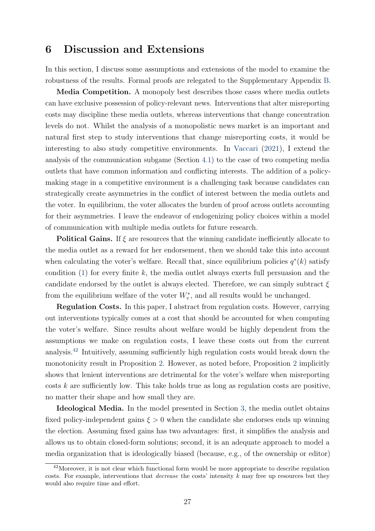### 6 Discussion and Extensions

In this section, I discuss some assumptions and extensions of the model to examine the robustness of the results. Formal proofs are relegated to the Supplementary Appendix B.

Media Competition. A monopoly best describes those cases where media outlets can have exclusive possession of policy-relevant news. Interventions that alter misreporting costs may discipline these media outlets, whereas interventions that change concentration levels do not. Whilst the analysis of a monopolistic news market is an important and natural first step to study interventions that change misreporting costs, it would be interesting to also study competitive environments. In Vaccari (2021), I extend the analysis of the communication subgame (Section 4.1) to the case of two competing media outlets that have common information and conflicting interests. The addition of a policymaking stage in a competitive environment is a challenging task because candidates can strategically create asymmetries in the conflict of interest between the media outlets and the voter. In equilibrium, the voter allocates the burden of proof across outlets accounting for their asymmetries. I leave the endeavor of endogenizing policy choices within a model of communication with multiple media outlets for future research.

**Political Gains.** If  $\xi$  are resources that the winning candidate inefficiently allocate to the media outlet as a reward for her endorsement, then we should take this into account when calculating the voter's welfare. Recall that, since equilibrium policies  $q^*(k)$  satisfy condition (1) for every finite k, the media outlet always exerts full persuasion and the candidate endorsed by the outlet is always elected. Therefore, we can simply subtract  $\xi$ from the equilibrium welfare of the voter  $W_v^*$ , and all results would be unchanged.

Regulation Costs. In this paper, I abstract from regulation costs. However, carrying out interventions typically comes at a cost that should be accounted for when computing the voter's welfare. Since results about welfare would be highly dependent from the assumptions we make on regulation costs, I leave these costs out from the current analysis.<sup>42</sup> Intuitively, assuming sufficiently high regulation costs would break down the monotonicity result in Proposition 2. However, as noted before, Proposition 2 implicitly shows that lenient interventions are detrimental for the voter's welfare when misreporting  $\cos ts \, k$  are sufficiently low. This take holds true as long as regulation costs are positive, no matter their shape and how small they are.

Ideological Media. In the model presented in Section 3, the media outlet obtains fixed policy-independent gains  $\xi > 0$  when the candidate she endorses ends up winning the election. Assuming fixed gains has two advantages: first, it simplifies the analysis and allows us to obtain closed-form solutions; second, it is an adequate approach to model a media organization that is ideologically biased (because, e.g., of the ownership or editor)

<sup>&</sup>lt;sup>42</sup>Moreover, it is not clear which functional form would be more appropriate to describe regulation costs. For example, interventions that decrease the costs' intensity k may free up resources but they would also require time and effort.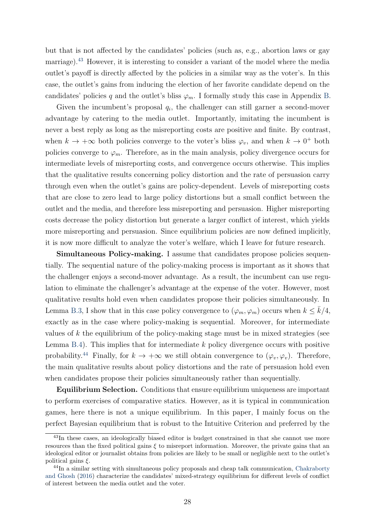but that is not affected by the candidates' policies (such as, e.g., abortion laws or gay marriage).<sup>43</sup> However, it is interesting to consider a variant of the model where the media outlet's payoff is directly affected by the policies in a similar way as the voter's. In this case, the outlet's gains from inducing the election of her favorite candidate depend on the candidates' policies q and the outlet's bliss  $\varphi_m$ . I formally study this case in Appendix B.

Given the incumbent's proposal  $q_i$ , the challenger can still garner a second-mover advantage by catering to the media outlet. Importantly, imitating the incumbent is never a best reply as long as the misreporting costs are positive and finite. By contrast, when  $k \to +\infty$  both policies converge to the voter's bliss  $\varphi_v$ , and when  $k \to 0^+$  both policies converge to  $\varphi_m$ . Therefore, as in the main analysis, policy divergence occurs for intermediate levels of misreporting costs, and convergence occurs otherwise. This implies that the qualitative results concerning policy distortion and the rate of persuasion carry through even when the outlet's gains are policy-dependent. Levels of misreporting costs that are close to zero lead to large policy distortions but a small conflict between the outlet and the media, and therefore less misreporting and persuasion. Higher misreporting costs decrease the policy distortion but generate a larger conflict of interest, which yields more misreporting and persuasion. Since equilibrium policies are now defined implicitly, it is now more difficult to analyze the voter's welfare, which I leave for future research.

Simultaneous Policy-making. I assume that candidates propose policies sequentially. The sequential nature of the policy-making process is important as it shows that the challenger enjoys a second-mover advantage. As a result, the incumbent can use regulation to eliminate the challenger's advantage at the expense of the voter. However, most qualitative results hold even when candidates propose their policies simultaneously. In Lemma B.3, I show that in this case policy convergence to  $(\varphi_m, \varphi_m)$  occurs when  $k \leq k/4$ , exactly as in the case where policy-making is sequential. Moreover, for intermediate values of k the equilibrium of the policy-making stage must be in mixed strategies (see Lemma B.4). This implies that for intermediate  $k$  policy divergence occurs with positive probability.<sup>44</sup> Finally, for  $k \to +\infty$  we still obtain convergence to  $(\varphi_v, \varphi_v)$ . Therefore, the main qualitative results about policy distortions and the rate of persuasion hold even when candidates propose their policies simultaneously rather than sequentially.

Equilibrium Selection. Conditions that ensure equilibrium uniqueness are important to perform exercises of comparative statics. However, as it is typical in communication games, here there is not a unique equilibrium. In this paper, I mainly focus on the perfect Bayesian equilibrium that is robust to the Intuitive Criterion and preferred by the

<sup>&</sup>lt;sup>43</sup>In these cases, an ideologically biased editor is budget constrained in that she cannot use more resources than the fixed political gains  $\xi$  to misreport information. Moreover, the private gains that an ideological editor or journalist obtains from policies are likely to be small or negligible next to the outlet's political gains  $\xi$ .

<sup>&</sup>lt;sup>44</sup>In a similar setting with simultaneous policy proposals and cheap talk communication, Chakraborty and Ghosh (2016) characterize the candidates' mixed-strategy equilibrium for different levels of conflict of interest between the media outlet and the voter.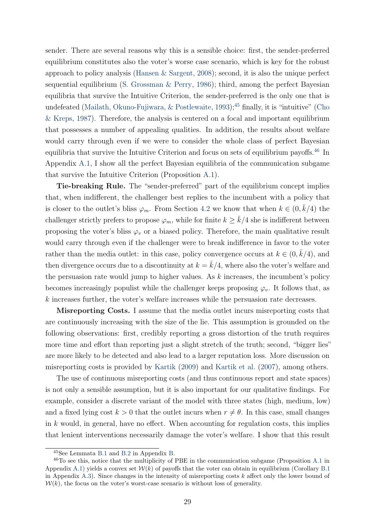sender. There are several reasons why this is a sensible choice: first, the sender-preferred equilibrium constitutes also the voter's worse case scenario, which is key for the robust approach to policy analysis (Hansen & Sargent, 2008); second, it is also the unique perfect sequential equilibrium (S. Grossman & Perry, 1986); third, among the perfect Bayesian equilibria that survive the Intuitive Criterion, the sender-preferred is the only one that is undefeated (Mailath, Okuno-Fujiwara,  $&$  Postlewaite, 1993);<sup>45</sup> finally, it is "intuitive" (Cho & Kreps, 1987). Therefore, the analysis is centered on a focal and important equilibrium that possesses a number of appealing qualities. In addition, the results about welfare would carry through even if we were to consider the whole class of perfect Bayesian equilibria that survive the Intuitive Criterion and focus on sets of equilibrium payoffs.<sup>46</sup> In Appendix A.1, I show all the perfect Bayesian equilibria of the communication subgame that survive the Intuitive Criterion (Proposition A.1).

Tie-breaking Rule. The "sender-preferred" part of the equilibrium concept implies that, when indifferent, the challenger best replies to the incumbent with a policy that is closer to the outlet's bliss  $\varphi_m$ . From Section 4.2 we know that when  $k \in (0, \bar{k}/4)$  the challenger strictly prefers to propose  $\varphi_m$ , while for finite  $k \geq \overline{k}/4$  she is indifferent between proposing the voter's bliss  $\varphi_v$  or a biased policy. Therefore, the main qualitative result would carry through even if the challenger were to break indifference in favor to the voter rather than the media outlet: in this case, policy convergence occurs at  $k \in (0, \bar{k}/4)$ , and then divergence occurs due to a discontinuity at  $k = \overline{k}/4$ , where also the voter's welfare and the persuasion rate would jump to higher values. As  $k$  increases, the incumbent's policy becomes increasingly populist while the challenger keeps proposing  $\varphi_v$ . It follows that, as k increases further, the voter's welfare increases while the persuasion rate decreases.

Misreporting Costs. I assume that the media outlet incurs misreporting costs that are continuously increasing with the size of the lie. This assumption is grounded on the following observations: first, credibly reporting a gross distortion of the truth requires more time and effort than reporting just a slight stretch of the truth; second, "bigger lies" are more likely to be detected and also lead to a larger reputation loss. More discussion on misreporting costs is provided by Kartik (2009) and Kartik et al. (2007), among others.

The use of continuous misreporting costs (and thus continuous report and state spaces) is not only a sensible assumption, but it is also important for our qualitative findings. For example, consider a discrete variant of the model with three states (high, medium, low) and a fixed lying cost  $k > 0$  that the outlet incurs when  $r \neq \theta$ . In this case, small changes in  $k$  would, in general, have no effect. When accounting for regulation costs, this implies that lenient interventions necessarily damage the voter's welfare. I show that this result

<sup>45</sup>See Lemmata B.1 and B.2 in Appendix B.

<sup>46</sup>To see this, notice that the multiplicity of PBE in the communication subgame (Proposition A.1 in Appendix A.1) yields a convex set  $\mathcal{W}(k)$  of payoffs that the voter can obtain in equilibrium (Corollary B.1) in Appendix A.3). Since changes in the intensity of misreporting costs  $k$  affect only the lower bound of  $W(k)$ , the focus on the voter's worst-case scenario is without loss of generality.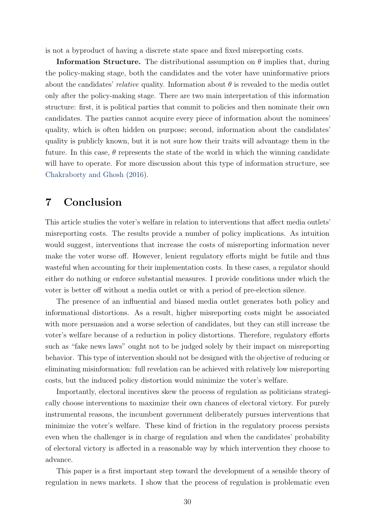is not a byproduct of having a discrete state space and fixed misreporting costs.

**Information Structure.** The distributional assumption on  $\theta$  implies that, during the policy-making stage, both the candidates and the voter have uninformative priors about the candidates' relative quality. Information about  $\theta$  is revealed to the media outlet only after the policy-making stage. There are two main interpretation of this information structure: first, it is political parties that commit to policies and then nominate their own candidates. The parties cannot acquire every piece of information about the nominees' quality, which is often hidden on purpose; second, information about the candidates' quality is publicly known, but it is not sure how their traits will advantage them in the future. In this case,  $\theta$  represents the state of the world in which the winning candidate will have to operate. For more discussion about this type of information structure, see Chakraborty and Ghosh (2016).

### 7 Conclusion

This article studies the voter's welfare in relation to interventions that affect media outlets' misreporting costs. The results provide a number of policy implications. As intuition would suggest, interventions that increase the costs of misreporting information never make the voter worse off. However, lenient regulatory efforts might be futile and thus wasteful when accounting for their implementation costs. In these cases, a regulator should either do nothing or enforce substantial measures. I provide conditions under which the voter is better off without a media outlet or with a period of pre-election silence.

The presence of an influential and biased media outlet generates both policy and informational distortions. As a result, higher misreporting costs might be associated with more persuasion and a worse selection of candidates, but they can still increase the voter's welfare because of a reduction in policy distortions. Therefore, regulatory efforts such as "fake news laws" ought not to be judged solely by their impact on misreporting behavior. This type of intervention should not be designed with the objective of reducing or eliminating misinformation: full revelation can be achieved with relatively low misreporting costs, but the induced policy distortion would minimize the voter's welfare.

Importantly, electoral incentives skew the process of regulation as politicians strategically choose interventions to maximize their own chances of electoral victory. For purely instrumental reasons, the incumbent government deliberately pursues interventions that minimize the voter's welfare. These kind of friction in the regulatory process persists even when the challenger is in charge of regulation and when the candidates' probability of electoral victory is affected in a reasonable way by which intervention they choose to advance.

This paper is a first important step toward the development of a sensible theory of regulation in news markets. I show that the process of regulation is problematic even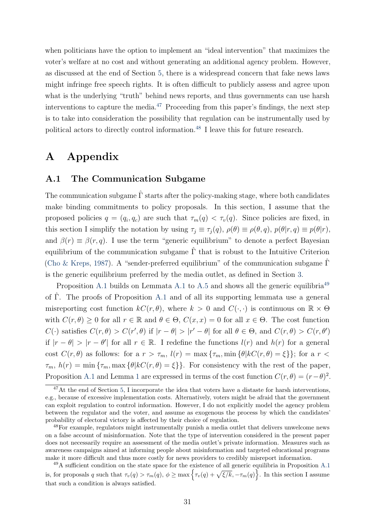when politicians have the option to implement an "ideal intervention" that maximizes the voter's welfare at no cost and without generating an additional agency problem. However, as discussed at the end of Section 5, there is a widespread concern that fake news laws might infringe free speech rights. It is often difficult to publicly assess and agree upon what is the underlying "truth" behind news reports, and thus governments can use harsh interventions to capture the media. $47$  Proceeding from this paper's findings, the next step is to take into consideration the possibility that regulation can be instrumentally used by political actors to directly control information.<sup>48</sup> I leave this for future research.

### A Appendix

### A.1 The Communication Subgame

The communication subgame  $\Gamma$  starts after the policy-making stage, where both candidates make binding commitments to policy proposals. In this section, I assume that the proposed policies  $q = (q_i, q_c)$  are such that  $\tau_m(q) < \tau_v(q)$ . Since policies are fixed, in this section I simplify the notation by using  $\tau_j \equiv \tau_j(q)$ ,  $\rho(\theta) \equiv \rho(\theta, q)$ ,  $p(\theta | r, q) \equiv p(\theta | r)$ , and  $\beta(r) \equiv \beta(r, q)$ . I use the term "generic equilibrium" to denote a perfect Bayesian equilibrium of the communication subgame  $\hat{\Gamma}$  that is robust to the Intuitive Criterion (Cho & Kreps, 1987). A "sender-preferred equilibrium" of the communication subgame  $\Gamma$ is the generic equilibrium preferred by the media outlet, as defined in Section 3.

Proposition A.1 builds on Lemmata A.1 to A.5 and shows all the generic equilibria<sup>49</sup> of Γˆ. The proofs of Proposition A.1 and of all its supporting lemmata use a general misreporting cost function  $kC(r, \theta)$ , where  $k > 0$  and  $C(\cdot, \cdot)$  is continuous on  $\mathbb{R} \times \Theta$ with  $C(r, \theta) \ge 0$  for all  $r \in \mathbb{R}$  and  $\theta \in \Theta$ ,  $C(x, x) = 0$  for all  $x \in \Theta$ . The cost function  $C(\cdot)$  satisfies  $C(r, \theta) > C(r', \theta)$  if  $|r - \theta| > |r' - \theta|$  for all  $\theta \in \Theta$ , and  $C(r, \theta) > C(r, \theta')$ if  $|r - \theta| > |r - \theta'|$  for all  $r \in \mathbb{R}$ . I redefine the functions  $l(r)$  and  $h(r)$  for a general cost  $C(r, \theta)$  as follows: for a  $r > \tau_m$ ,  $l(r) = \max{\{\tau_m, \min{\{\theta | kC(r, \theta) = \xi\}}\}}$ ; for a  $r <$  $\tau_m$ ,  $h(r) = \min \{\tau_m, \max \{\theta | kC(r, \theta) = \xi\}\}.$  For consistency with the rest of the paper, Proposition A.1 and Lemma 1 are expressed in terms of the cost function  $C(r, \theta) = (r - \theta)^2$ .

 $47$ At the end of Section 5, I incorporate the idea that voters have a distaste for harsh interventions, e.g., because of excessive implementation costs. Alternatively, voters might be afraid that the government can exploit regulation to control information. However, I do not explicitly model the agency problem between the regulator and the voter, and assume as exogenous the process by which the candidates' probability of electoral victory is affected by their choice of regulation.

<sup>&</sup>lt;sup>48</sup>For example, regulators might instrumentally punish a media outlet that delivers unwelcome news on a false account of misinformation. Note that the type of intervention considered in the present paper does not necessarily require an assessment of the media outlet's private information. Measures such as awareness campaigns aimed at informing people about misinformation and targeted educational programs make it more difficult and thus more costly for news providers to credibly misreport information.

 $^{49}$ A sufficient condition on the state space for the existence of all generic equilibria in Proposition A.1 is, for proposals q such that  $\tau_v(q) > \tau_m(q)$ ,  $\phi \ge \max\left\{\tau_v(q) + \sqrt{\xi/k}, -\tau_m(q)\right\}$ . In this section I assume that such a condition is always satisfied.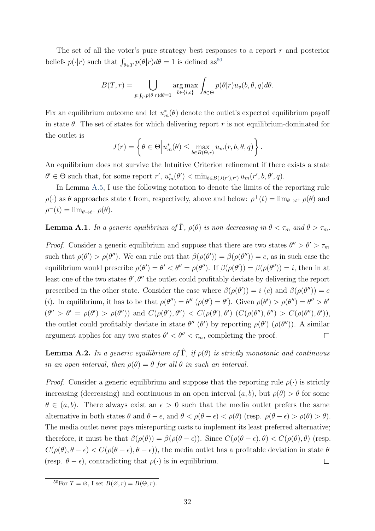The set of all the voter's pure strategy best responses to a report r and posterior beliefs  $p(\cdot|r)$  such that  $\int_{\theta \in T} p(\theta|r) d\theta = 1$  is defined as<sup>50</sup>

$$
B(T,r) = \bigcup_{p:\int_T p(\theta|r)d\theta = 1} \arg \max_{b \in \{i,c\}} \int_{\theta \in \Theta} p(\theta|r) u_v(b,\theta,q) d\theta.
$$

Fix an equilibrium outcome and let  $u_m^*(\theta)$  denote the outlet's expected equilibrium payoff in state  $\theta$ . The set of states for which delivering report r is not equilibrium-dominated for the outlet is

$$
J(r) = \left\{ \theta \in \Theta \middle| u_m^*(\theta) \le \max_{b \in B(\Theta, r)} u_m(r, b, \theta, q) \right\}.
$$

An equilibrium does not survive the Intuitive Criterion refinement if there exists a state  $\theta' \in \Theta$  such that, for some report  $r', u_m^*(\theta') < \min_{b \in B(J(r'), r')} u_m(r', b, \theta', q)$ .

In Lemma A.5, I use the following notation to denote the limits of the reporting rule  $\rho(\cdot)$  as  $\theta$  approaches state t from, respectively, above and below:  $\rho^+(t) = \lim_{\theta \to t^+} \rho(\theta)$  and  $\rho^-(t) = \lim_{\theta \to t^-} \rho(\theta).$ 

**Lemma A.1.** In a generic equilibrium of  $\hat{\Gamma}$ ,  $\rho(\theta)$  is non-decreasing in  $\theta < \tau_m$  and  $\theta > \tau_m$ .

*Proof.* Consider a generic equilibrium and suppose that there are two states  $\theta'' > \theta' > \tau_m$ such that  $\rho(\theta') > \rho(\theta'')$ . We can rule out that  $\beta(\rho(\theta')) = \beta(\rho(\theta'')) = c$ , as in such case the equilibrium would prescribe  $\rho(\theta') = \theta' < \theta'' = \rho(\theta'')$ . If  $\beta(\rho(\theta')) = \beta(\rho(\theta'')) = i$ , then in at least one of the two states  $\theta', \theta''$  the outlet could profitably deviate by delivering the report prescribed in the other state. Consider the case where  $\beta(\rho(\theta')) = i$  (c) and  $\beta(\rho(\theta'')) = c$ (i). In equilibrium, it has to be that  $\rho(\theta'') = \theta''(\rho(\theta') = \theta')$ . Given  $\rho(\theta') > \rho(\theta'') = \theta'' > \theta''$  $(\theta'' > \theta' = \rho(\theta') > \rho(\theta''))$  and  $C(\rho(\theta'), \theta'') < C(\rho(\theta'), \theta') (C(\rho(\theta''), \theta'') > C(\rho(\theta''), \theta'))$ the outlet could profitably deviate in state  $\theta''(\theta')$  by reporting  $\rho(\theta')(\rho(\theta''))$ . A similar argument applies for any two states  $\theta' < \theta'' < \tau_m$ , completing the proof.  $\Box$ 

**Lemma A.2.** In a generic equilibrium of  $\hat{\Gamma}$ , if  $\rho(\theta)$  is strictly monotonic and continuous in an open interval, then  $\rho(\theta) = \theta$  for all  $\theta$  in such an interval.

*Proof.* Consider a generic equilibrium and suppose that the reporting rule  $\rho(\cdot)$  is strictly increasing (decreasing) and continuous in an open interval  $(a, b)$ , but  $\rho(\theta) > \theta$  for some  $\theta \in (a, b)$ . There always exist an  $\epsilon > 0$  such that the media outlet prefers the same alternative in both states  $\theta$  and  $\theta - \epsilon$ , and  $\theta < \rho(\theta - \epsilon) < \rho(\theta)$  (resp.  $\rho(\theta - \epsilon) > \rho(\theta) > \theta$ ). The media outlet never pays misreporting costs to implement its least preferred alternative; therefore, it must be that  $\beta(\rho(\theta)) = \beta(\rho(\theta - \epsilon))$ . Since  $C(\rho(\theta - \epsilon), \theta) < C(\rho(\theta), \theta)$  (resp.  $C(\rho(\theta), \theta - \epsilon) < C(\rho(\theta - \epsilon), \theta - \epsilon)$ , the media outlet has a profitable deviation in state  $\theta$ (resp.  $\theta - \epsilon$ ), contradicting that  $\rho(\cdot)$  is in equilibrium.  $\Box$ 

 $50\text{For }T = \emptyset$ , I set  $B(\emptyset, r) = B(\Theta, r)$ .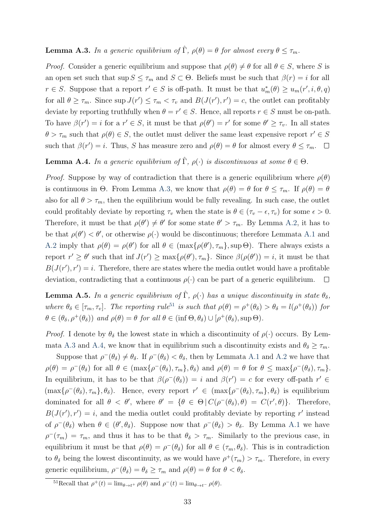#### **Lemma A.3.** In a generic equilibrium of  $\hat{\Gamma}$ ,  $\rho(\theta) = \theta$  for almost every  $\theta \leq \tau_m$ .

*Proof.* Consider a generic equilibrium and suppose that  $\rho(\theta) \neq \theta$  for all  $\theta \in S$ , where S is an open set such that sup  $S \leq \tau_m$  and  $S \subset \Theta$ . Beliefs must be such that  $\beta(r) = i$  for all  $r \in S$ . Suppose that a report  $r' \in S$  is off-path. It must be that  $u_m^*(\theta) \ge u_m(r', i, \theta, q)$ for all  $\theta \geq \tau_m$ . Since  $\sup J(r') \leq \tau_m < \tau_v$  and  $B(J(r'), r') = c$ , the outlet can profitably deviate by reporting truthfully when  $\theta = r' \in S$ . Hence, all reports  $r \in S$  must be on-path. To have  $\beta(r') = i$  for a  $r' \in S$ , it must be that  $\rho(\theta') = r'$  for some  $\theta' \geq \tau_v$ . In all states  $\theta > \tau_m$  such that  $\rho(\theta) \in S$ , the outlet must deliver the same least expensive report  $r' \in S$ such that  $\beta(r') = i$ . Thus, S has measure zero and  $\rho(\theta) = \theta$  for almost every  $\theta \le \tau_m$ .

**Lemma A.4.** In a generic equilibrium of  $\hat{\Gamma}$ ,  $\rho(\cdot)$  is discontinuous at some  $\theta \in \Theta$ .

*Proof.* Suppose by way of contradiction that there is a generic equilibrium where  $\rho(\theta)$ is continuous in Θ. From Lemma A.3, we know that  $\rho(\theta) = \theta$  for  $\theta \leq \tau_m$ . If  $\rho(\theta) = \theta$ also for all  $\theta > \tau_m$ , then the equilibrium would be fully revealing. In such case, the outlet could profitably deviate by reporting  $\tau_v$  when the state is  $\theta \in (\tau_v - \epsilon, \tau_v)$  for some  $\epsilon > 0$ . Therefore, it must be that  $\rho(\theta') \neq \theta'$  for some state  $\theta' > \tau_m$ . By Lemma A.2, it has to be that  $\rho(\theta') < \theta'$ , or otherwise  $\rho(\cdot)$  would be discontinuous; therefore Lemmata A.1 and A.2 imply that  $\rho(\theta) = \rho(\theta')$  for all  $\theta \in (\max{\{\rho(\theta'), \tau_m\}}, \sup{\Theta})$ . There always exists a report  $r' \geq \theta'$  such that inf  $J(r') \geq \max\{\rho(\theta'), \tau_m\}$ . Since  $\beta(\rho(\theta')) = i$ , it must be that  $B(J(r'), r') = i$ . Therefore, there are states where the media outlet would have a profitable deviation, contradicting that a continuous  $\rho(\cdot)$  can be part of a generic equilibrium.  $\Box$ 

**Lemma A.5.** In a generic equilibrium of  $\hat{\Gamma}$ ,  $\rho(\cdot)$  has a unique discontinuity in state  $\theta_{\delta}$ , where  $\theta_{\delta} \in [\tau_m, \tau_v]$ . The reporting rule<sup>51</sup> is such that  $\rho(\theta) = \rho^+(\theta_{\delta}) > \theta_{\delta} = l(\rho^+(\theta_{\delta}))$  for  $\theta \in (\theta_{\delta}, \rho^+(\theta_{\delta}))$  and  $\rho(\theta) = \theta$  for all  $\theta \in (\inf \Theta, \theta_{\delta}) \cup [\rho^+(\theta_{\delta}), \sup \Theta).$ 

*Proof.* I denote by  $\theta_{\delta}$  the lowest state in which a discontinuity of  $\rho(\cdot)$  occurs. By Lemmata A.3 and A.4, we know that in equilibrium such a discontinuity exists and  $\theta_{\delta} \geq \tau_m$ .

Suppose that  $\rho^-(\theta_\delta) \neq \theta_\delta$ . If  $\rho^-(\theta_\delta) < \theta_\delta$ , then by Lemmata A.1 and A.2 we have that  $\rho(\theta) = \rho^-(\theta_\delta)$  for all  $\theta \in (\max{\rho^-(\theta_\delta)}, \tau_m, \theta_\delta)$  and  $\rho(\theta) = \theta$  for  $\theta \le \max{\rho^-(\theta_\delta)}, \tau_m$ . In equilibrium, it has to be that  $\beta(\rho^{-}(\theta_{\delta})) = i$  and  $\beta(r') = c$  for every off-path  $r' \in$  $(\max{\{\rho^{-}(\theta_{\delta}), \tau_m\}, \theta_{\delta}}).$  Hence, every report  $r' \in (\max{\{\rho^{-}(\theta_{\delta}), \tau_m\}, \theta_{\delta}})$  is equilibrium dominated for all  $\theta < \theta'$ , where  $\theta' = {\theta \in \Theta | C(\rho^-(\theta_\delta), \theta) = C(r', \theta)}$ . Therefore,  $B(J(r'), r') = i$ , and the media outlet could profitably deviate by reporting r' instead of  $\rho^-(\theta_\delta)$  when  $\theta \in (\theta', \theta_\delta)$ . Suppose now that  $\rho^-(\theta_\delta) > \theta_\delta$ . By Lemma A.1 we have  $\rho^-(\tau_m) = \tau_m$ , and thus it has to be that  $\theta_\delta > \tau_m$ . Similarly to the previous case, in equilibrium it must be that  $\rho(\theta) = \rho^-(\theta_\delta)$  for all  $\theta \in (\tau_m, \theta_\delta)$ . This is in contradiction to  $\theta_{\delta}$  being the lowest discontinuity, as we would have  $\rho^+(\tau_m) > \tau_m$ . Therefore, in every generic equilibrium,  $\rho^-(\theta_\delta) = \theta_\delta \ge \tau_m$  and  $\rho(\theta) = \theta$  for  $\theta < \theta_\delta$ .

<sup>&</sup>lt;sup>51</sup>Recall that  $\rho^+(t) = \lim_{\theta \to t^+} \rho(\theta)$  and  $\rho^-(t) = \lim_{\theta \to t^-} \rho(\theta)$ .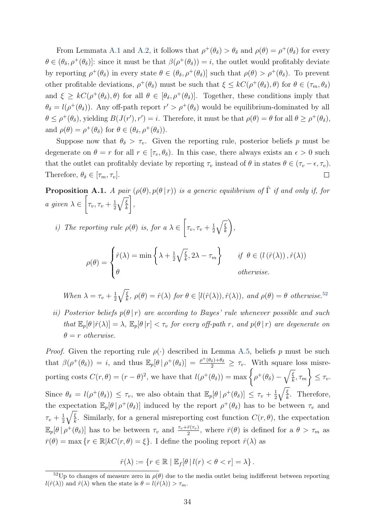From Lemmata A.1 and A.2, it follows that  $\rho^+(\theta_\delta) > \theta_\delta$  and  $\rho(\theta) = \rho^+(\theta_\delta)$  for every  $\theta \in (\theta_\delta, \rho^+(\theta_\delta))$ : since it must be that  $\beta(\rho^+(\theta_\delta)) = i$ , the outlet would profitably deviate by reporting  $\rho^+(\theta_\delta)$  in every state  $\theta \in (\theta_\delta, \rho^+(\theta_\delta))$  such that  $\rho(\theta) > \rho^+(\theta_\delta)$ . To prevent other profitable deviations,  $\rho^+(\theta_\delta)$  must be such that  $\xi \leq kC(\rho^+(\theta_\delta), \theta)$  for  $\theta \in (\tau_m, \theta_\delta)$ and  $\xi \geq kC(\rho^+(\theta_\delta), \theta)$  for all  $\theta \in [\theta_\delta, \rho^+(\theta_\delta)]$ . Together, these conditions imply that  $\theta_{\delta} = l(\rho^+(\theta_{\delta}))$ . Any off-path report  $r' > \rho^+(\theta_{\delta})$  would be equilibrium-dominated by all  $\theta \leq \rho^+(\theta_\delta)$ , yielding  $B(J(r'), r') = i$ . Therefore, it must be that  $\rho(\theta) = \theta$  for all  $\theta \geq \rho^+(\theta_\delta)$ , and  $\rho(\theta) = \rho^+(\theta_\delta)$  for  $\theta \in (\theta_\delta, \rho^+(\theta_\delta))$ .

Suppose now that  $\theta_{\delta} > \tau_v$ . Given the reporting rule, posterior beliefs p must be degenerate on  $\theta = r$  for all  $r \in [\tau_v, \theta_\delta)$ . In this case, there always exists an  $\epsilon > 0$  such that the outlet can profitably deviate by reporting  $\tau_v$  instead of  $\theta$  in states  $\theta \in (\tau_v - \epsilon, \tau_v)$ . Therefore,  $\theta_{\delta} \in [\tau_m, \tau_v].$  $\Box$ 

**Proposition A.1.** A pair  $(\rho(\theta), p(\theta | r))$  is a generic equilibrium of  $\hat{\Gamma}$  if and only if, for a given  $\lambda \in$  $\sqrt{ }$  $\tau_v, \tau_v+\frac{1}{2}$ 2  $\sqrt{\xi}$ k Τ ,

i) The reporting rule  $\rho(\theta)$  is, for a  $\lambda \in$  $\sqrt{ }$  $\tau_v, \tau_v + \frac{1}{2}$ 2  $\sqrt{\xi}$ k <sup>-</sup> ,

$$
\rho(\theta) = \begin{cases} \hat{r}(\lambda) = \min\left\{\lambda + \frac{1}{2}\sqrt{\frac{\xi}{k}}, 2\lambda - \tau_m\right\} & \text{if } \theta \in (l(\hat{r}(\lambda)), \hat{r}(\lambda)) \\ \theta & \text{otherwise.} \end{cases}
$$

When 
$$
\lambda = \tau_v + \frac{1}{2} \sqrt{\frac{\xi}{k}}
$$
,  $\rho(\theta) = \hat{r}(\lambda)$  for  $\theta \in [l(\hat{r}(\lambda)), \hat{r}(\lambda))$ , and  $\rho(\theta) = \theta$  otherwise.<sup>52</sup>

ii) Posterior beliefs  $p(\theta | r)$  are according to Bayes' rule whenever possible and such that  $\mathbb{E}_p[\theta | \hat{r}(\lambda)] = \lambda$ ,  $\mathbb{E}_p[\theta | r] < \tau_v$  for every off-path r, and  $p(\theta | r)$  are degenerate on  $\theta = r$  otherwise.

*Proof.* Given the reporting rule  $\rho(\cdot)$  described in Lemma A.5, beliefs p must be such that  $\beta(\rho^+(\theta_\delta)) = i$ , and thus  $\mathbb{E}_p[\theta \mid \rho^+(\theta_\delta)] = \frac{\rho^+(\theta_\delta)+\theta_\delta}{2} \geq \tau_v$ . With square loss misreporting costs  $C(r, \theta) = (r - \theta)^2$ , we have that  $l(\rho^+(\theta_\delta)) = \max \left\{ \rho^+(\theta_\delta) - \sqrt{\frac{\xi}{k}} \right\}$  $\frac{\xi}{k}, \tau_m$  $\mathcal{L}$  $\leq \tau_v$ . Since  $\theta_{\delta} = l(\rho^+(\theta_{\delta})) \leq \tau_v$ , we also obtain that  $\mathbb{E}_p[\theta | \rho^+(\theta_{\delta})] \leq \tau_v + \frac{1}{2}$ 2  $\sqrt{\xi}$  $\frac{\xi}{k}$ . Therefore, the expectation  $\mathbb{E}_p[\theta \mid \rho^+(\theta_\delta)]$  induced by the report  $\rho^+(\theta_\delta)$  has to be between  $\tau_v$  and  $\tau_v+\frac{1}{2}$ 2  $\sqrt{\xi}$  $\frac{\xi}{k}$ . Similarly, for a general misreporting cost function  $C(r, \theta)$ , the expectation  $\mathbb{E}_p[\theta \mid \rho^+(\theta_\delta)]$  has to be between  $\tau_v$  and  $\frac{\tau_v + \bar{r}(\tau_v)}{2}$ , where  $\bar{r}(\theta)$  is defined for a  $\theta > \tau_m$  as  $\bar{r}(\theta) = \max \{r \in \mathbb{R} | kC(r, \theta) = \xi\}.$  I define the pooling report  $\hat{r}(\lambda)$  as

$$
\hat{r}(\lambda) := \{r \in \mathbb{R} \mid \mathbb{E}_f[\theta \,|\, l(r) < \theta < r] = \lambda\}.
$$

<sup>&</sup>lt;sup>52</sup>Up to changes of measure zero in  $\rho(\theta)$  due to the media outlet being indifferent between reporting  $l(\hat{r}(\lambda))$  and  $\hat{r}(\lambda)$  when the state is  $\theta = l(\hat{r}(\lambda)) > \tau_m$ .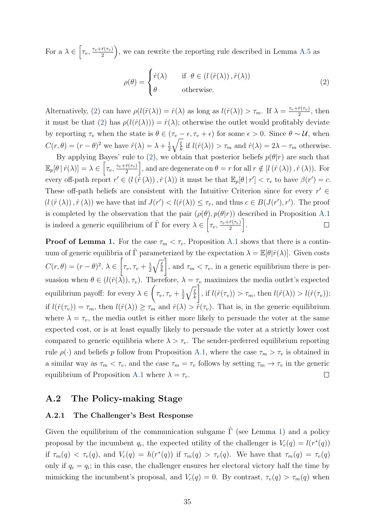For a  $\lambda \in \left[\tau_v, \frac{\tau_v + \bar{r}(\tau_v)}{2}\right]$ 2 , we can rewrite the reporting rule described in Lemma A.5 as

$$
\rho(\theta) = \begin{cases} \hat{r}(\lambda) & \text{if } \theta \in (l(\hat{r}(\lambda)), \hat{r}(\lambda)) \\ \theta & \text{otherwise.} \end{cases}
$$
\n(2)

Alternatively, (2) can have  $\rho(l(\hat{r}(\lambda))) = \hat{r}(\lambda)$  as long as  $l(\hat{r}(\lambda)) > \tau_m$ . If  $\lambda = \frac{\tau_v + \bar{r}(\tau_v)}{2}$  $\frac{r(\tau_v)}{2}$ , then it must be that (2) has  $\rho(l(\hat{r}(\lambda))) = \hat{r}(\lambda)$ ; otherwise the outlet would profitably deviate by reporting  $\tau_v$  when the state is  $\theta \in (\tau_v - \epsilon, \tau_v + \epsilon)$  for some  $\epsilon > 0$ . Since  $\theta \sim \mathcal{U}$ , when  $C(r, \theta) = (r - \theta)^2$  we have  $\hat{r}(\lambda) = \lambda + \frac{1}{2}$ 2  $\sqrt{\xi}$  $\frac{k}{k}$  if  $l(\hat{r}(\lambda)) > \tau_m$  and  $\hat{r}(\lambda) = 2\lambda - \tau_m$  otherwise.

By applying Bayes' rule to (2), we obtain that posterior beliefs  $p(\theta|r)$  are such that  $\mathbb{E}_p[\theta | \hat{r}(\lambda)] = \lambda \in \left[ \tau_v, \frac{\tau_v + \bar{r}(\tau_v)}{2} \right]$ ], and are degenerate on  $\theta = r$  for all  $r \notin [l(\hat{r}(\lambda)), \hat{r}(\lambda))$ . For 2 every off-path report  $r' \in (l(\hat{r}(\lambda)), \hat{r}(\lambda))$  it must be that  $\mathbb{E}_p[\theta | r'] < \tau_v$  to have  $\beta(r') = c$ . These off-path beliefs are consistent with the Intuitive Criterion since for every  $r' \in$  $(l(\hat{r}(\lambda)), \hat{r}(\lambda))$  we have that inf  $J(r') < l(\hat{r}(\lambda)) \leq \tau_v$ , and thus  $c \in B(J(r'), r')$ . The proof is completed by the observation that the pair  $(\rho(\theta), p(\theta|r))$  described in Proposition A.1 is indeed a generic equilibrium of  $\hat{\Gamma}$  for every  $\lambda \in \left[ \tau_v, \frac{\tau_v + \bar{r}(\tau_v)}{2} \right]$ i .  $\Box$ 2

**Proof of Lemma 1.** For the case  $\tau_m < \tau_v$ , Proposition A.1 shows that there is a continuum of generic equilibria of  $\hat{\Gamma}$  parameterized by the expectation  $\lambda = \mathbb{E}[\theta|\hat{r}(\lambda)]$ . Given costs  $\sqrt{ }$ 1  $\sqrt{\xi}$  $C(r, \theta) = (r - \theta)^2, \lambda \in$  $\tau_v, \tau_v+\frac{1}{2}$ , and  $\tau_m < \tau_v$ , in a generic equilibrium there is per-2 k suasion when  $\theta \in (l(\hat{r}(\lambda)), \tau_v)$ . Therefore,  $\lambda = \tau_v$  maximizes the media outlet's expected  $\sqrt{ }$ Ί  $\sqrt{\xi}$  $\tau_v, \tau_v+\frac{1}{2}$ equilibrium payoff: for every  $\lambda \in$ , if  $l(\hat{r}(\tau_v)) > \tau_m$ , then  $l(\hat{r}(\lambda)) > l(\hat{r}(\tau_v))$ ; 2 k if  $l(\hat{r}(\tau_v)) = \tau_m$ , then  $l(\hat{r}(\lambda)) \geq \tau_m$  and  $\hat{r}(\lambda) > \dot{\hat{r}}(\tau_v)$ . That is, in the generic equilibrium where  $\lambda = \tau_v$ , the media outlet is either more likely to persuade the voter at the same expected cost, or is at least equally likely to persuade the voter at a strictly lower cost compared to generic equilibria where  $\lambda > \tau_v$ . The sender-preferred equilibrium reporting rule  $\rho(\cdot)$  and beliefs p follow from Proposition A.1, where the case  $\tau_m > \tau_v$  is obtained in a similar way as  $\tau_m < \tau_v$ , and the case  $\tau_m = \tau_v$  follows by setting  $\tau_m \to \tau_v$  in the generic equilibrium of Proposition A.1 where  $\lambda = \tau_v$ .  $\Box$ 

#### A.2 The Policy-making Stage

#### A.2.1 The Challenger's Best Response

Given the equilibrium of the communication subgame  $\hat{\Gamma}$  (see Lemma 1) and a policy proposal by the incumbent  $q_i$ , the expected utility of the challenger is  $V_c(q) = l(r^*(q))$ if  $\tau_m(q) < \tau_v(q)$ , and  $V_c(q) = h(r^*(q))$  if  $\tau_m(q) > \tau_v(q)$ . We have that  $\tau_m(q) = \tau_v(q)$ only if  $q_c = q_i$ ; in this case, the challenger ensures her electoral victory half the time by mimicking the incumbent's proposal, and  $V_c(q) = 0$ . By contrast,  $\tau_v(q) > \tau_m(q)$  when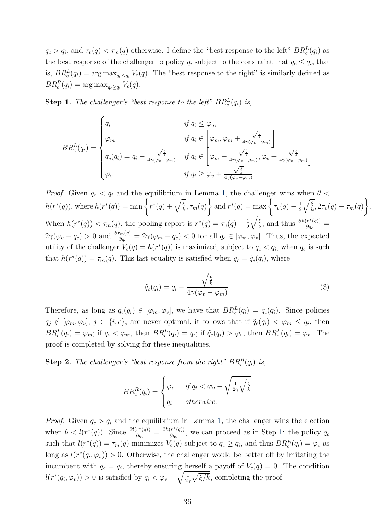$q_c > q_i$ , and  $\tau_v(q) < \tau_m(q)$  otherwise. I define the "best response to the left"  $BR_c^L(q_i)$  as the best response of the challenger to policy  $q_i$  subject to the constraint that  $q_c \leq q_i$ , that is,  $BR_c^L(q_i) = \arg \max_{q_c \le q_i} V_c(q)$ . The "best response to the right" is similarly defined as  $BR_c^R(q_i) = \arg \max_{q_c \ge q_i} V_c(q).$ 

**Step 1.** The challenger's "best response to the left"  $BR_c^L(q_i)$  is,

$$
BR_c^L(q_i) = \begin{cases} q_i & \text{if } q_i \leq \varphi_m \\ \varphi_m & \text{if } q_i \in \left[ \varphi_m, \varphi_m + \frac{\sqrt{\frac{\xi}{k}}}{4\gamma(\varphi_v - \varphi_m)} \right] \\ \tilde{q}_c(q_i) = q_i - \frac{\sqrt{\frac{\xi}{k}}}{4\gamma(\varphi_v - \varphi_m)} & \text{if } q_i \in \left[ \varphi_m + \frac{\sqrt{\frac{\xi}{k}}}{4\gamma(\varphi_v - \varphi_m)}, \varphi_v + \frac{\sqrt{\frac{\xi}{k}}}{4\gamma(\varphi_v - \varphi_m)} \right] \\ \varphi_v & \text{if } q_i \geq \varphi_v + \frac{\sqrt{\frac{\xi}{k}}}{4\gamma(\varphi_v - \varphi_m)} \end{cases}
$$

*Proof.* Given  $q_c < q_i$  and the equilibrium in Lemma 1, the challenger wins when  $\theta$  <  $h(r^*(q))$ , where  $h(r^*(q)) = \min \left\{ r^*(q) + \sqrt{\frac{\xi}{k}}, \tau_m(q) \right\}$  $\mathcal{L}$ and  $r^*(q) = \max \left\{ \tau_v(q) - \frac{1}{2} \right\}$ 2  $\sqrt{\xi}$  $\frac{\xi}{k}, 2\tau_v(q) - \tau_m(q)$  $\mathcal{L}$ . When  $h(r^*(q)) < \tau_m(q)$ , the pooling report is  $r^*(q) = \tau_v(q) - \frac{1}{2}$ 2  $\sqrt{\xi}$  $\frac{\overline{\xi}}{k}$ , and thus  $\frac{\partial h(r^*(q))}{\partial q_c}$  $\frac{\left( r^{\perp}\left( q\right) \right) }{\partial q_{c}}=$  $2\gamma(\varphi_v - q_c) > 0$  and  $\frac{\partial \tau_m(q)}{\partial q_c} = 2\gamma(\varphi_m - q_c) < 0$  for all  $q_c \in [\varphi_m, \varphi_v]$ . Thus, the expected utility of the challenger  $V_c(q) = h(r^*(q))$  is maximized, subject to  $q_c < q_i$ , when  $q_c$  is such that  $h(r^*(q)) = \tau_m(q)$ . This last equality is satisfied when  $q_c = \tilde{q}_c(q_i)$ , where

$$
\tilde{q}_c(q_i) = q_i - \frac{\sqrt{\frac{\xi}{k}}}{4\gamma(\varphi_v - \varphi_m)}.
$$
\n(3)

Therefore, as long as  $\tilde{q}_c(q_i) \in [\varphi_m, \varphi_v]$ , we have that  $BR_c^L(q_i) = \tilde{q}_c(q_i)$ . Since policies  $q_j \notin [\varphi_m, \varphi_v], j \in \{i, c\},\$ are never optimal, it follows that if  $\tilde{q}_c(q_i) < \varphi_m \le q_i$ , then  $BR_c^L(q_i) = \varphi_m$ ; if  $q_i < \varphi_m$ , then  $BR_c^L(q_i) = q_i$ ; if  $\tilde{q}_c(q_i) > \varphi_v$ , then  $BR_c^L(q_i) = \varphi_v$ . The proof is completed by solving for these inequalities. П

**Step 2.** The challenger's "best response from the right"  $BR_c^R(q_i)$  is,

$$
BR_c^R(q_i) = \begin{cases} \varphi_v & \text{if } q_i < \varphi_v - \sqrt{\frac{1}{2\gamma}\sqrt{\frac{\xi}{k}}} \\ q_i & \text{otherwise.} \end{cases}
$$

*Proof.* Given  $q_c > q_i$  and the equilibrium in Lemma 1, the challenger wins the election when  $\theta < l(r^*(q))$ . Since  $\frac{\partial l(r^*(q))}{\partial q_q}$  $\frac{\partial r^*(q)}{\partial q_c} = \frac{\partial h(r^*(q))}{\partial q_c}$  $\frac{(r^{\alpha}(q))}{\partial q_c}$ , we can proceed as in Step 1: the policy  $q_c$ such that  $l(r^*(q)) = \tau_m(q)$  minimizes  $V_c(q)$  subject to  $q_c \ge q_i$ , and thus  $BR_c^R(q_i) = \varphi_v$  as long as  $l(r^*(q_i, \varphi_v)) > 0$ . Otherwise, the challenger would be better off by imitating the incumbent with  $q_c = q_i$ , thereby ensuring herself a payoff of  $V_c(q) = 0$ . The condition  $l(r^*(q_i, \varphi_v)) > 0$  is satisfied by  $q_i < \varphi_v - \sqrt{\frac{1}{2}}$  $\frac{1}{2\gamma}\sqrt{\xi/k}$ , completing the proof.  $\Box$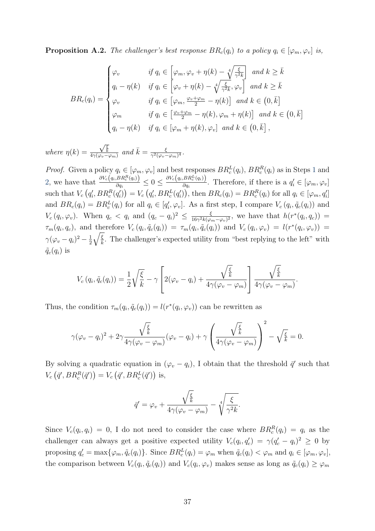**Proposition A.2.** The challenger's best response  $BR_c(q_i)$  to a policy  $q_i \in [\varphi_m, \varphi_v]$  is,

$$
BR_c(q_i) = \begin{cases} \varphi_v & \text{if } q_i \in \left[ \varphi_m, \varphi_v + \eta(k) - \sqrt[4]{\frac{\xi}{\gamma^2 k}} \right] \text{ and } k \ge \bar{k} \\ q_i - \eta(k) & \text{if } q_i \in \left[ \varphi_v + \eta(k) - \sqrt[4]{\frac{\xi}{\gamma^2 k}}, \varphi_v \right] \text{ and } k \ge \bar{k} \\ \varphi_v & \text{if } q_i \in \left[ \varphi_m, \frac{\varphi_v + \varphi_m}{2} - \eta(k) \right] \text{ and } k \in \left( 0, \bar{k} \right] \\ \varphi_m & \text{if } q_i \in \left[ \frac{\varphi_v + \varphi_m}{2} - \eta(k), \varphi_m + \eta(k) \right] \text{ and } k \in \left( 0, \bar{k} \right] \\ q_i - \eta(k) & \text{if } q_i \in \left[ \varphi_m + \eta(k), \varphi_v \right] \text{ and } k \in \left( 0, \bar{k} \right], \end{cases}
$$

where  $\eta(k) =$  $\frac{\sqrt{\frac{\xi}{k}}}{4\gamma(\varphi_v-\varphi_m)}$  and  $\bar{k}=\frac{\xi}{\gamma^2(\varphi_v-\xi)}$  $\frac{\xi}{\gamma^2(\varphi_v-\varphi_m)^4}.$ 

*Proof.* Given a policy  $q_i \in [\varphi_m, \varphi_v]$  and best responses  $BR_c^L(q_i)$ ,  $BR_c^R(q_i)$  as in Steps 1 and 2, we have that  $\frac{\partial V_c(q_i, BR_c^R(q_i))}{\partial q_i}$  $\frac{\beta BR_c^R(q_i) \big)}{\partial q_i} \leq 0 \leq \frac{\partial V_c(q_i, BR_c^L(q_i))}{\partial q_i}$  $\frac{\partial P_{\alpha}(q_i)}{\partial q_i}$ . Therefore, if there is a  $q'_i \in [\varphi_m, \varphi_v]$ such that  $V_c(g'_i, BR_c^R(q'_i)) = V_c(g'_i, BR_c^L(q'_i))$ , then  $BR_c(q_i) = BR_c^R(q_i)$  for all  $q_i \in [\varphi_m, q'_i]$ and  $BR_c(q_i) = BR_c^L(q_i)$  for all  $q_i \in [q'_i, \varphi_v]$ . As a first step, I compare  $V_c(q_i, \tilde{q}_c(q_i))$  and  $V_c(q_i,\varphi_v)$ . When  $q_c < q_i$  and  $(q_c - q_i)^2 \leq \frac{\xi}{16\gamma^2 k(\varphi_i)}$  $\frac{\xi}{16\gamma^2k(\varphi_m-\varphi_v)^2}$ , we have that  $h(r^*(q_i,q_c))$  =  $\tau_m(q_i, q_c)$ , and therefore  $V_c(q_i, \tilde{q}_c(q_i)) = \tau_m(q_i, \tilde{q}_c(q_i))$  and  $V_c(q_i, \varphi_v) = l(r^*(q_i, \varphi_v))$  $\gamma(\varphi_v-q_i)^2-\frac{1}{2}$ 2  $\sqrt{\xi}$  $\frac{k}{k}$ . The challenger's expected utility from "best replying to the left" with  $\tilde{q}_{c}(q_i)$  is

$$
V_c(q_i, \tilde{q}_c(q_i)) = \frac{1}{2} \sqrt{\frac{\xi}{k}} - \gamma \left[ 2(\varphi_v - q_i) + \frac{\sqrt{\frac{\xi}{k}}}{4\gamma(\varphi_v - \varphi_m)} \right] \frac{\sqrt{\frac{\xi}{k}}}{4\gamma(\varphi_v - \varphi_m)}.
$$

Thus, the condition  $\tau_m(q_i, \tilde{q}_c(q_i)) = l(r^*(q_i, \varphi_v))$  can be rewritten as

$$
\gamma(\varphi_v - q_i)^2 + 2\gamma \frac{\sqrt{\frac{\xi}{k}}}{4\gamma(\varphi_v - \varphi_m)}(\varphi_v - q_i) + \gamma \left(\frac{\sqrt{\frac{\xi}{k}}}{4\gamma(\varphi_v - \varphi_m)}\right)^2 - \sqrt{\frac{\xi}{k}} = 0.
$$

By solving a quadratic equation in  $(\varphi_v - q_i)$ , I obtain that the threshold  $\bar{q}'$  such that  $V_c(\bar{q}', BR_c^R(\bar{q}')) = V_c(\bar{q}', BR_c^L(\bar{q}'))$  is,

$$
\bar{q}' = \varphi_v + \frac{\sqrt{\frac{\xi}{k}}}{4\gamma(\varphi_v - \varphi_m)} - \sqrt[4]{\frac{\xi}{\gamma^2 k}}.
$$

Since  $V_c(q_i, q_i) = 0$ , I do not need to consider the case where  $BR_c^R(q_i) = q_i$  as the challenger can always get a positive expected utility  $V_c(q_i, q'_c) = \gamma (q'_c - q_i)^2 \geq 0$  by proposing  $q'_c = \max\{\varphi_m, \tilde{q}_c(q_i)\}\.$  Since  $BR_c^L(q_i) = \varphi_m$  when  $\tilde{q}_c(q_i) < \varphi_m$  and  $q_i \in [\varphi_m, \varphi_v],$ the comparison between  $V_c(q_i, \tilde{q}_c(q_i))$  and  $V_c(q_i, \varphi_v)$  makes sense as long as  $\tilde{q}_c(q_i) \ge \varphi_m$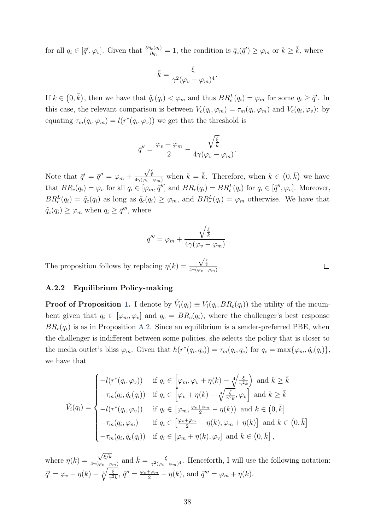for all  $q_i \in [\bar{q}', \varphi_v]$ . Given that  $\frac{\partial \tilde{q}_c(q_i)}{\partial q_i} = 1$ , the condition is  $\tilde{q}_c(\bar{q}') \geq \varphi_m$  or  $k \geq \bar{k}$ , where

$$
\bar{k} = \frac{\xi}{\gamma^2 (\varphi_v - \varphi_m)^4}.
$$

If  $k \in (0, \bar{k})$ , then we have that  $\tilde{q}_c(q_i) < \varphi_m$  and thus  $BR_c^L(q_i) = \varphi_m$  for some  $q_i \geq \bar{q}'$ . In this case, the relevant comparison is between  $V_c(q_i, \varphi_m) = \tau_m(q_i, \varphi_m)$  and  $V_c(q_i, \varphi_v)$ : by equating  $\tau_m(q_i, \varphi_m) = l(r^*(q_i, \varphi_v))$  we get that the threshold is

$$
\bar{q}'' = \frac{\varphi_v + \varphi_m}{2} - \frac{\sqrt{\frac{\xi}{k}}}{4\gamma(\varphi_v - \varphi_m)}.
$$

Note that  $\bar{q}' = \bar{q}'' = \varphi_m +$  $\frac{\sqrt{\frac{\xi}{k}}}{4\gamma(\varphi_v - \varphi_m)}$  when  $k = \bar{k}$ . Therefore, when  $k \in (0, \bar{k})$  we have that  $BR_c(q_i) = \varphi_v$  for all  $q_i \in [\varphi_m, \bar{q}'']$  and  $BR_c(q_i) = BR_c^L(q_i)$  for  $q_i \in [\bar{q}'', \varphi_v]$ . Moreover,  $BR_c^L(q_i) = \tilde{q}_c(q_i)$  as long as  $\tilde{q}_c(q_i) \ge \varphi_m$ , and  $BR_c^L(q_i) = \varphi_m$  otherwise. We have that  $\tilde{q}_c(q_i) \ge \varphi_m$  when  $q_i \ge \bar{q}''$ , where

$$
\bar{q}''' = \varphi_m + \frac{\sqrt{\frac{\xi}{k}}}{4\gamma(\varphi_v - \varphi_m)}.
$$

The proposition follows by replacing  $\eta(k) =$  $\frac{\sqrt{\frac{\xi}{k}}}{4\gamma(\varphi_v-\varphi_m)}.$ 

#### A.2.2 Equilibrium Policy-making

**Proof of Proposition 1.** I denote by  $\hat{V}_i(q_i) \equiv V_i(q_i, BR_c(q_i))$  the utility of the incumbent given that  $q_i \in [\varphi_m, \varphi_v]$  and  $q_c = BR_c(q_i)$ , where the challenger's best response  $BR_c(q_i)$  is as in Proposition A.2. Since an equilibrium is a sender-preferred PBE, when the challenger is indifferent between some policies, she selects the policy that is closer to the media outlet's bliss  $\varphi_m$ . Given that  $h(r^*(q_i, q_c)) = \tau_m(q_i, q_c)$  for  $q_c = \max{\{\varphi_m, \tilde{q}_c(q_i)\}},$ we have that

$$
\hat{V}_i(q_i) = \begin{cases}\n-l(r^*(q_i, \varphi_v)) & \text{if } q_i \in \left[\varphi_m, \varphi_v + \eta(k) - \sqrt[4]{\frac{\xi}{\gamma^2 k}}\right) \text{ and } k \ge \bar{k} \\
-\tau_m(q_i, \tilde{q}_c(q_i)) & \text{if } q_i \in \left[\varphi_v + \eta(k) - \sqrt[4]{\frac{\xi}{\gamma^2 k}}, \varphi_v\right] \text{ and } k \ge \bar{k} \\
-l(r^*(q_i, \varphi_v)) & \text{if } q_i \in \left[\varphi_m, \frac{\varphi_v + \varphi_m}{2} - \eta(k)\right) \text{ and } k \in \left(0, \bar{k}\right] \\
-\tau_m(q_i, \varphi_m) & \text{if } q_i \in \left[\frac{\varphi_v + \varphi_m}{2} - \eta(k), \varphi_m + \eta(k)\right] \text{ and } k \in \left(0, \bar{k}\right] \\
-\tau_m(q_i, \tilde{q}_c(q_i)) & \text{if } q_i \in \left[\varphi_m + \eta(k), \varphi_v\right] \text{ and } k \in \left(0, \bar{k}\right],\n\end{cases}
$$

where  $\eta(k) =$  $\sqrt{\xi/k}$  $\frac{\sqrt{\xi/k}}{4\gamma(\varphi_v-\varphi_m)}$  and  $\bar{k}=\frac{\xi}{\gamma^2(\varphi_v-\varphi_m)}$  $\frac{\xi}{\gamma^2(\varphi_v-\varphi_m)^4}$ . Henceforth, I will use the following notation:  $\bar{q}' = \varphi_v + \eta(k) - \sqrt[4]{\frac{\xi}{\gamma^2}}$  $\frac{\xi}{\gamma^2 k}, \bar{q}'' = \frac{\varphi_v + \varphi_m}{2} - \eta(k)$ , and  $\bar{q}''' = \varphi_m + \eta(k)$ .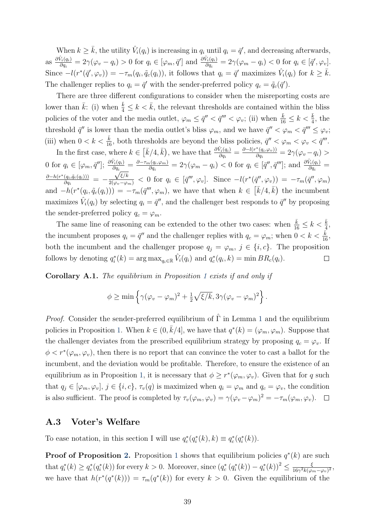When  $k \geq \bar{k}$ , the utility  $\hat{V}_i(q_i)$  is increasing in  $q_i$  until  $q_i = \bar{q}'$ , and decreasing afterwards, as  $\frac{\partial \hat{V}_i(q_i)}{\partial q_i}$  $\frac{\hat{V}_i(q_i)}{\partial q_i} = 2\gamma(\varphi_v - q_i) > 0 \,\, \text{for} \,\, q_i \in [\varphi_m, \bar{q}'] \,\, \text{and} \,\, \frac{\partial \hat{V}_i(q_i)}{\partial q_i}$  $\frac{\partial \varphi_i(q_i)}{\partial q_i} = 2\gamma(\varphi_m - q_i) < 0 \text{ for } q_i \in [\bar{q}', \varphi_v].$ Since  $-l(r^*(\bar{q}',\varphi_v)) = -\tau_m(q_i,\tilde{q}_c(q_i))$ , it follows that  $q_i = \bar{q}'$  maximizes  $\hat{V}_i(q_i)$  for  $k \geq \bar{k}$ . The challenger replies to  $q_i = \bar{q}'$  with the sender-preferred policy  $q_c = \tilde{q}_c(\bar{q}')$ .

There are three different configurations to consider when the misreporting costs are lower than  $\bar{k}$ : (i) when  $\frac{\bar{k}}{4} \leq k < \bar{k}$ , the relevant thresholds are contained within the bliss policies of the voter and the media outlet,  $\varphi_m \leq \bar{q}'' < \bar{q}''' < \varphi_v$ ; (ii) when  $\frac{\bar{k}}{16} \leq k < \frac{\bar{k}}{4}$ , the threshold  $\bar{q}''$  is lower than the media outlet's bliss  $\varphi_m$ , and we have  $\bar{q}'' < \varphi_m < \bar{q}''' \leq \varphi_v$ ; (iii) when  $0 < k < \frac{\bar{k}}{16}$ , both thresholds are beyond the bliss policies,  $\bar{q}'' < \varphi_m < \varphi_v < \bar{q}'''$ .

In the first case, where  $k \in \left[\bar{k}/4, \bar{k}\right)$ , we have that  $\frac{\partial \hat{V}_i(q_i)}{\partial q_i}$  $\frac{\hat{V}_i(q_i)}{\partial q_i} = \frac{\partial - l(r^*(q_i,\varphi_v))}{\partial q_i}$  $\frac{\partial \Gamma(q_i,\varphi_v))}{\partial q_i} = 2\gamma(\varphi_v-q_i) >$ 0 for  $q_i \in [\varphi_m, \bar{q}'']$ ;  $\frac{\partial \hat{V}_i(q_i)}{\partial q_i}$  $\frac{\partial V_i(q_i)}{\partial q_i} = \frac{\partial - \tau_m(q_i,\varphi_m)}{\partial q_i}$  $\frac{a_i(q_i,\varphi_m)}{\partial q_i} = 2\gamma(\varphi_m - q_i) < 0$  for  $q_i \in [\bar{q}'', \bar{q}''']$ ; and  $\frac{\partial \hat{V}_i(q_i)}{\partial q_i}$  $\frac{V_i(q_i)}{\partial q_i} =$  $\partial - h(r^*(q_i, \tilde{q}_c(q_i)))$  $\frac{(q_i, q_c(q_i)))}{\partial q_i} = \frac{\sqrt{\xi/k}}{2(\varphi_v-\varphi_m)} < 0 \,\text{ for } \,q_i \, \in \, [\bar{q}''',\varphi_v]. \,\,\,\text{Since } -l(r^*(\bar{q}'',\varphi_v))\,=\, -\tau_m(\bar{q}'',\varphi_m)$ and  $-h(r^*(q_i, \tilde{q}_c(q_i))) = -\tau_m(\bar{q}''', \varphi_m)$ , we have that when  $k \in [\bar{k}/4, \bar{k})$  the incumbent maximizes  $\hat{V}_i(q_i)$  by selecting  $q_i = \bar{q}''$ , and the challenger best responds to  $\bar{q}''$  by proposing the sender-preferred policy  $q_c = \varphi_m$ .

The same line of reasoning can be extended to the other two cases: when  $\frac{\bar{k}}{16} \leq k < \frac{\bar{k}}{4}$ , the incumbent proposes  $q_i = \bar{q}''$  and the challenger replies with  $q_c = \varphi_m$ ; when  $0 < k < \frac{\bar{k}}{16}$ , both the incumbent and the challenger propose  $q_j = \varphi_m$ ,  $j \in \{i, c\}$ . The proposition follows by denoting  $q_i^*(k) = \arg \max_{q_i \in \mathbb{R}} \hat{V}_i(q_i)$  and  $q_c^*(q_i, k) = \min BR_c(q_i)$ .  $\Box$ 

Corollary A.1. The equilibrium in Proposition 1 exists if and only if

$$
\phi \ge \min \left\{ \gamma(\varphi_v - \varphi_m)^2 + \frac{1}{2} \sqrt{\xi/k}, 3\gamma(\varphi_v - \varphi_m)^2 \right\}.
$$

*Proof.* Consider the sender-preferred equilibrium of  $\hat{\Gamma}$  in Lemma 1 and the equilibrium policies in Proposition 1. When  $k \in (0, \bar{k}/4]$ , we have that  $q^*(k) = (\varphi_m, \varphi_m)$ . Suppose that the challenger deviates from the prescribed equilibrium strategy by proposing  $q_c = \varphi_v$ . If  $\phi < r^*(\varphi_m, \varphi_v)$ , then there is no report that can convince the voter to cast a ballot for the incumbent, and the deviation would be profitable. Therefore, to ensure the existence of an equilibrium as in Proposition 1, it is necessary that  $\phi \geq r^*(\varphi_m, \varphi_v)$ . Given that for q such that  $q_j \in [\varphi_m, \varphi_v], j \in \{i, c\}, \tau_v(q)$  is maximized when  $q_i = \varphi_m$  and  $q_c = \varphi_v$ , the condition is also sufficient. The proof is completed by  $\tau_v(\varphi_m, \varphi_v) = \gamma(\varphi_v - \varphi_m)^2 = -\tau_m(\varphi_m, \varphi_v)$ .

#### A.3 Voter's Welfare

To ease notation, in this section I will use  $q_c^*(q_i^*(k), k) \equiv q_c^*(q_i^*(k)).$ 

**Proof of Proposition 2.** Proposition 1 shows that equilibrium policies  $q^*(k)$  are such that  $q_i^*(k) \ge q_c^*(q_i^*(k))$  for every  $k > 0$ . Moreover, since  $(q_c^*(q_i^*(k)) - q_i^*(k))^2 \le \frac{\xi}{16\gamma^2k(\varphi_k)}$  $\frac{\xi}{16\gamma^2k(\varphi_m-\varphi_v)^2},$ we have that  $h(r^*(q^*(k))) = \tau_m(q^*(k))$  for every  $k > 0$ . Given the equilibrium of the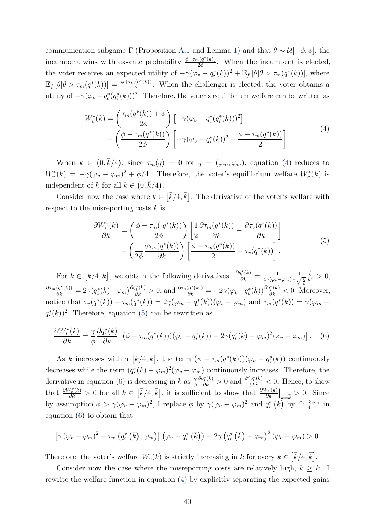communication subgame  $\hat{\Gamma}$  (Proposition A.1 and Lemma 1) and that  $\theta \sim \mathcal{U}[-\phi, \phi]$ , the incumbent wins with ex-ante probability  $\frac{\phi-\tau_m(q^*(k))}{2\phi}$  $\frac{\partial \{q^k(k)\}}{\partial \phi}$ . When the incumbent is elected, the voter receives an expected utility of  $-\gamma(\varphi_v - q_i^*(k))^2 + \mathbb{E}_f [\theta | \theta > \tau_m(q^*(k))],$  where  $\mathbb{E}_f [\theta | \theta > \tau_m(q^*(k))] = \frac{\phi + \tau_m(q^*(k))}{2}$  $\frac{(q^r(k))}{2}$ . When the challenger is elected, the voter obtains a utility of  $-\gamma(\varphi_v - q_c^*(q_i^*(k)))^2$ . Therefore, the voter's equilibrium welfare can be written as

$$
W_v^*(k) = \left(\frac{\tau_m(q^*(k)) + \phi}{2\phi}\right) \left[ -\gamma(\varphi_v - q_c^*(q_i^*(k)))^2 \right] + \left(\frac{\phi - \tau_m(q^*(k))}{2\phi}\right) \left[ -\gamma(\varphi_v - q_i^*(k))^2 + \frac{\phi + \tau_m(q^*(k))}{2} \right].
$$
\n(4)

When  $k \in (0, \bar{k}/4)$ , since  $\tau_m(q) = 0$  for  $q = (\varphi_m, \varphi_m)$ , equation (4) reduces to  $W_v^*(k) = -\gamma(\varphi_v - \varphi_m)^2 + \varphi/4$ . Therefore, the voter's equilibrium welfare  $W_v^*(k)$  is independent of k for all  $k \in (0, \bar{k}/4)$ .

Consider now the case where  $k \in \left[\bar{k}/4, \bar{k}\right]$ . The derivative of the voter's welfare with respect to the misreporting costs  $k$  is

$$
\frac{\partial W_v^*(k)}{\partial k} = \left(\frac{\phi - \tau_m(q^*(k))}{2\phi}\right) \left[\frac{1}{2} \frac{\partial \tau_m(q^*(k))}{\partial k} - \frac{\partial \tau_v(q^*(k))}{\partial k}\right] - \left(\frac{1}{2\phi} \frac{\partial \tau_m(q^*(k))}{\partial k}\right) \left[\frac{\phi + \tau_m(q^*(k))}{2} - \tau_v(q^*(k))\right].
$$
\n(5)

For  $k \in \left[\bar{k}/4, \bar{k}\right]$ , we obtain the following derivatives:  $\frac{\partial q_i^*(k)}{\partial k} = \frac{1}{4\gamma(\varphi_v \cdot k)}$  $4\gamma(\varphi_v-\varphi_m)$ 1  $\frac{1}{2\sqrt{\frac{\xi}{k}}}$ ξ  $\frac{\xi}{k^2} > 0,$  $\frac{\partial \tau_m(q^*(k))}{\partial k} = 2\gamma(q_i^*(k) - \varphi_m) \frac{\partial q_i^*(k)}{\partial k} > 0$ , and  $\frac{\partial \tau_v(q^*(k))}{\partial k} = -2\gamma(\varphi_v - q_i^*(k)) \frac{\partial q_i^*(k)}{\partial k} < 0$ . Moreover, notice that  $\tau_v(q^*(k)) - \tau_m(q^*(k)) = 2\gamma(\varphi_m - q_i^*(k))(\varphi_v - \varphi_m)$  and  $\tau_m(q^*(k)) = \gamma(\varphi_m - \varphi_m)$  $q_i^*(k)$ <sup>2</sup>. Therefore, equation (5) can be rewritten as

$$
\frac{\partial W_v^*(k)}{\partial k} = \frac{\gamma}{\phi} \frac{\partial q_i^*(k)}{\partial k} \left[ (\phi - \tau_m(q^*(k))) (\varphi_v - q_i^*(k)) - 2\gamma (q_i^*(k) - \varphi_m)^2 (\varphi_v - \varphi_m) \right]. \tag{6}
$$

As k increases within  $\left[\bar{k}/4,\bar{k}\right]$ , the term  $(\phi - \tau_m(q^*(k)))(\varphi_v - q_i^*(k))$  continuously decreases while the term  $(q_i^*(k) - \varphi_m)^2(\varphi_v - \varphi_m)$  continuously increases. Therefore, the derivative in equation (6) is decreasing in k as  $\frac{\gamma}{\phi}$  $\frac{\partial q_i^*(k)}{\partial k} > 0$  and  $\frac{\partial^2 q_i^*(k)}{\partial k^2} < 0$ . Hence, to show that  $\frac{\partial W_v^*(k)}{\partial k} > 0$  for all  $k \in \left[\bar{k}/4, \bar{k}\right]$ , it is sufficient to show that  $\frac{\partial W_v(k)}{\partial k}\Big|_{k=\bar{k}} > 0$ . Since by assumption  $\phi > \gamma(\varphi_v - \varphi_m)^2$ , I replace  $\phi$  by  $\gamma(\varphi_v - \varphi_m)^2$  and  $q_i^*$   $(\bar{k})$  by  $\frac{\varphi_v + 3\varphi_m}{4}$  in equation (6) to obtain that

$$
\left[\gamma(\varphi_v-\varphi_m)^2-\tau_m\left(q_i^*\left(\bar{k}\right),\varphi_m\right)\right]\left(\varphi_v-q_i^*\left(\bar{k}\right)\right)-2\gamma\left(q_i^*\left(\bar{k}\right)-\varphi_m\right)^2\left(\varphi_v-\varphi_m\right)>0.
$$

Therefore, the voter's welfare  $W_v(k)$  is strictly increasing in k for every  $k \in \left[\bar{k}/4, \bar{k}\right]$ .

Consider now the case where the misreporting costs are relatively high,  $k \geq \overline{k}$ . I rewrite the welfare function in equation (4) by explicitly separating the expected gains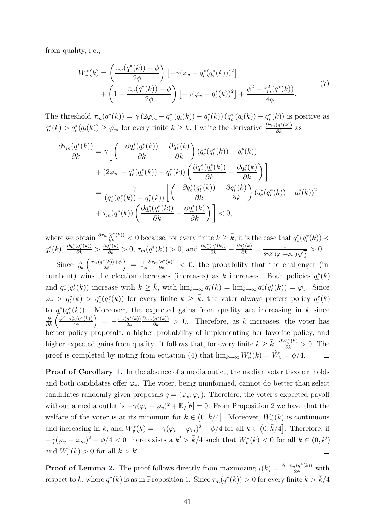from quality, i.e.,

$$
W_v^*(k) = \left(\frac{\tau_m(q^*(k)) + \phi}{2\phi}\right) \left[-\gamma(\varphi_v - q_c^*(q_i^*(k)))^2\right] + \left(1 - \frac{\tau_m(q^*(k)) + \phi}{2\phi}\right) \left[-\gamma(\varphi_v - q_i^*(k))^2\right] + \frac{\phi^2 - \tau_m^2(q^*(k))}{4\phi}.
$$
 (7)

The threshold  $\tau_m(q^*(k)) = \gamma (2\varphi_m - q_c^*(q_i(k)) - q_i^*(k)) (q_c^*(q_i(k)) - q_i^*(k))$  is positive as  $q_i^*(k) > q_c^*(q_i(k)) \geq \varphi_m$  for every finite  $k \geq \bar{k}$ . I write the derivative  $\frac{\partial \tau_m(q^*(k))}{\partial k}$  as

$$
\frac{\partial \tau_m(q^*(k))}{\partial k} = \gamma \bigg[ \bigg( -\frac{\partial q_c^*(q_i^*(k))}{\partial k} - \frac{\partial q_i^*(k)}{\partial k} \bigg) (q_c^*(q_i^*(k)) - q_i^*(k)) \n+ (2\varphi_m - q_c^*(q_i^*(k)) - q_i^*(k)) \bigg( \frac{\partial q_c^*(q_i^*(k))}{\partial k} - \frac{\partial q_i^*(k)}{\partial k} \bigg) \bigg] \n= \frac{\gamma}{(q_c^*(q_i^*(k)) - q_i^*(k))} \bigg[ \bigg( -\frac{\partial q_c^*(q_i^*(k))}{\partial k} - \frac{\partial q_i^*(k)}{\partial k} \bigg) (q_c^*(q_i^*(k)) - q_i^*(k))^2 \n+ \tau_m(q^*(k)) \bigg( \frac{\partial q_c^*(q_i^*(k))}{\partial k} - \frac{\partial q_i^*(k)}{\partial k} \bigg) \bigg] < 0,
$$

where we obtain  $\frac{\partial \tau_m(q^*(k))}{\partial k} < 0$  because, for every finite  $k \geq \bar{k}$ , it is the case that  $q_c^*(q_i^*(k)) <$  $q_i^*(k)$ ,  $\frac{\partial q_c^*(q_i^*(k))}{\partial k} > \frac{\partial q_i^*(k)}{\partial k} > 0$ ,  $\tau_m(q^*(k)) > 0$ , and  $\frac{\partial q_c^*(q_i^*(k))}{\partial k}$  $\frac{\partial q_i^*(k)}{\partial k} = \frac{\xi}{8\gamma k^2(\omega - \xi)}$  $rac{S}{8\gamma k^2(\varphi_v-\varphi_m)\sqrt{\frac{\xi}{k}}}$  $> 0.$ 

Since  $\frac{\partial}{\partial k} \left( \frac{\tau_m(q^*(k)) + \phi}{2\phi} \right)$  $= \frac{1}{2}$  $\frac{\partial \tau_m(q^*(k))}{\partial k}$  < 0, the probability that the challenger (in-2φ 2φ cumbent) wins the election decreases (increases) as k increases. Both policies  $q_i^*(k)$ and  $q_c^*(q_i^*(k))$  increase with  $k \geq \bar{k}$ , with  $\lim_{k \to \infty} q_i^*(k) = \lim_{k \to \infty} q_c^*(q_i^*(k)) = \varphi_v$ . Since  $\varphi_v > q_i^*(k) > q_c^*(q_i^*(k))$  for every finite  $k \geq \bar{k}$ , the voter always prefers policy  $q_i^*(k)$ to  $q_c^*(q_i^*(k))$ . Moreover, the expected gains from quality are increasing in k since  $\frac{\partial}{\partial k}\left(\frac{\phi^2-\tau_m^2(q^*(k))}{4\phi}\right)$  $= -\frac{\tau_m(q^*(k))}{2\phi}$  $\frac{\partial \tau_m(q^*(k))}{\partial k} > 0$ . Therefore, as k increases, the voter has 4φ 2φ better policy proposals, a higher probability of implementing her favorite policy, and higher expected gains from quality. It follows that, for every finite  $k \geq \bar{k}$ ,  $\frac{\partial W_v^*(k)}{\partial k} > 0$ . The proof is completed by noting from equation (4) that  $\lim_{k\to\infty} W_v^*(k) = \hat{W}_v = \phi/4$ .  $\Box$ 

**Proof of Corollary 1.** In the absence of a media outlet, the median voter theorem holds and both candidates offer  $\varphi_v$ . The voter, being uninformed, cannot do better than select candidates randomly given proposals  $q = (\varphi_v, \varphi_v)$ . Therefore, the voter's expected payoff without a media outlet is  $-\gamma(\varphi_v - \varphi_v)^2 + \mathbb{E}_f[\theta] = 0$ . From Proposition 2 we have that the welfare of the voter is at its minimum for  $k \in (0, \bar{k}/4]$ . Moreover,  $W_v^*(k)$  is continuous and increasing in k, and  $W_v^*(k) = -\gamma(\varphi_v - \varphi_m)^2 + \phi/4$  for all  $k \in (0, \bar{k}/4]$ . Therefore, if  $-\gamma(\varphi_v - \varphi_m)^2 + \phi/4 < 0$  there exists a  $k' > \bar{k}/4$  such that  $W_v^*(k) < 0$  for all  $k \in (0, k')$ and  $W_v^*(k) > 0$  for all  $k > k'$ .  $\Box$ 

**Proof of Lemma 2.** The proof follows directly from maximizing  $\iota(k) = \frac{\phi - \tau_m(q^*(k))}{2\phi}$  with respect to k, where  $q^*(k)$  is as in Proposition 1. Since  $\tau_m(q^*(k)) > 0$  for every finite  $k > \bar{k}/4$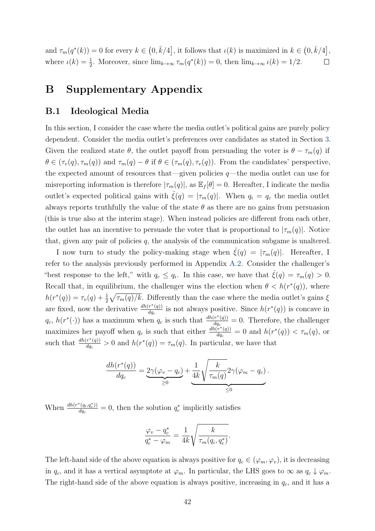and  $\tau_m(q^*(k)) = 0$  for every  $k \in (0, \bar{k}/4]$ , it follows that  $\iota(k)$  is maximized in  $k \in (0, \bar{k}/4]$ , where  $\iota(k) = \frac{1}{2}$ . Moreover, since  $\lim_{k \to \infty} \tau_m(q^*(k)) = 0$ , then  $\lim_{k \to \infty} \iota(k) = 1/2$ .  $\Box$ 

### B Supplementary Appendix

### B.1 Ideological Media

In this section, I consider the case where the media outlet's political gains are purely policy dependent. Consider the media outlet's preferences over candidates as stated in Section 3. Given the realized state  $\theta$ , the outlet payoff from persuading the voter is  $\theta - \tau_m(q)$  if  $\theta \in (\tau_v(q), \tau_m(q))$  and  $\tau_m(q) - \theta$  if  $\theta \in (\tau_m(q), \tau_v(q))$ . From the candidates' perspective, the expected amount of resources that—given policies  $q$ —the media outlet can use for misreporting information is therefore  $|\tau_m(q)|$ , as  $\mathbb{E}_f[\theta] = 0$ . Hereafter, I indicate the media outlet's expected political gains with  $\hat{\xi}(q) = |\tau_m(q)|$ . When  $q_i = q_c$  the media outlet always reports truthfully the value of the state  $\theta$  as there are no gains from persuasion (this is true also at the interim stage). When instead policies are different from each other, the outlet has an incentive to persuade the voter that is proportional to  $|\tau_m(q)|$ . Notice that, given any pair of policies  $q$ , the analysis of the communication subgame is unaltered.

I now turn to study the policy-making stage when  $\xi(q) = |\tau_m(q)|$ . Hereafter, I refer to the analysis previously performed in Appendix A.2. Consider the challenger's "best response to the left," with  $q_c \leq q_i$ . In this case, we have that  $\hat{\xi}(q) = \tau_m(q) > 0$ . Recall that, in equilibrium, the challenger wins the election when  $\theta < h(r^*(q))$ , where  $h(r^*(q)) = \tau_v(q) + \frac{1}{2}\sqrt{\tau_m(q)/k}$ . Differently than the case where the media outlet's gains  $\xi$ are fixed, now the derivative  $\frac{dh(r^*(q))}{dq}$  $\frac{r^*(q))}{dq_c}$  is not always positive. Since  $h(r^*(q))$  is concave in  $q_c, h(r^*(\cdot))$  has a maximum when  $q_c$  is such that  $\frac{dh(r^*(q))}{dq_c}$  $\frac{f''(q)}{dq_c} = 0$ . Therefore, the challenger maximizes her payoff when  $q_c$  is such that either  $\frac{dh(r^*(q))}{dq_c}$  $\frac{(r^*(q))}{dq_c} = 0$  and  $h(r^*(q)) < \tau_m(q)$ , or such that  $\frac{dh(r^*(q))}{dq}$  $\frac{r^*(q)}{dq_c} > 0$  and  $h(r^*(q)) = \tau_m(q)$ . In particular, we have that

$$
\frac{dh(r^*(q))}{dq_c} = \underbrace{2\gamma(\varphi_v - q_c)}_{\geq 0} + \underbrace{\frac{1}{4k}\sqrt{\frac{k}{\tau_m(q)}}} 2\gamma(\varphi_m - q_c).
$$

When  $\frac{dh(r^*(q_i,q_c^*))}{dq_a}$  $\frac{\partial^*(q_i, q_c^*)}{dq_c} = 0$ , then the solution  $q_c^*$  implicitly satisfies

$$
\frac{\varphi_v - q_c^*}{q_c^* - \varphi_m} = \frac{1}{4k} \sqrt{\frac{k}{\tau_m(q_i, q_c^*)}}.
$$

The left-hand side of the above equation is always positive for  $q_c \in (\varphi_m, \varphi_v)$ , it is decreasing in  $q_c$ , and it has a vertical asymptote at  $\varphi_m$ . In particular, the LHS goes to  $\infty$  as  $q_c \downarrow \varphi_m$ . The right-hand side of the above equation is always positive, increasing in  $q_c$ , and it has a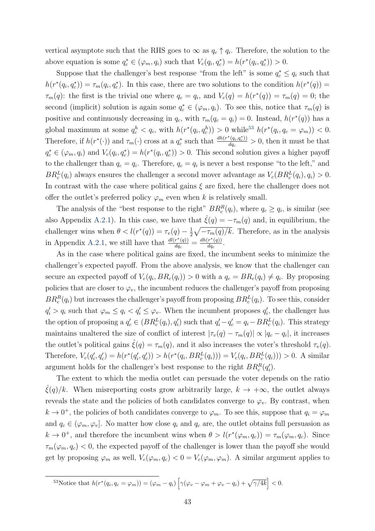vertical asymptote such that the RHS goes to  $\infty$  as  $q_c \uparrow q_i$ . Therefore, the solution to the above equation is some  $q_c^* \in (\varphi_m, q_i)$  such that  $V_c(q_i, q_c^*) = h(r^*(q_i, q_c^*)) > 0$ .

Suppose that the challenger's best response "from the left" is some  $q_c^* \leq q_i$  such that  $h(r^*(q_i, q_c^*)) = \tau_m(q_i, q_c^*)$ . In this case, there are two solutions to the condition  $h(r^*(q)) =$  $\tau_m(q)$ : the first is the trivial one where  $q_c = q_i$ , and  $V_c(q) = h(r^*(q)) = \tau_m(q) = 0$ ; the second (implicit) solution is again some  $q_c^* \in (\varphi_m, q_i)$ . To see this, notice that  $\tau_m(q)$  is positive and continuously decreasing in  $q_c$ , with  $\tau_m(q_c = q_i) = 0$ . Instead,  $h(r^*(q))$  has a global maximum at some  $q_c^h < q_i$ , with  $h(r^*(q_i, q_c^h)) > 0$  while<sup>53</sup>  $h(r^*(q_i, q_c = \varphi_m)) < 0$ . Therefore, if  $h(r^*(\cdot))$  and  $\tau_m(\cdot)$  cross at a  $q_c^*$  such that  $\frac{dh(r^*(q_i,q_c^*))}{dq_c}$  $\frac{d(q_i, q_c)}{dq_c} > 0$ , then it must be that  $q_c^* \in (\varphi_m, q_i)$  and  $V_c(q_i, q_c^*) = h(r^*(q_i, q_c^*)) > 0$ . This second solution gives a higher payoff to the challenger than  $q_c = q_i$ . Therefore,  $q_c = q_i$  is never a best response "to the left," and  $BR_c^L(q_i)$  always ensures the challenger a second mover advantage as  $V_c(BR_c^L(q_i), q_i) > 0$ . In contrast with the case where political gains  $\xi$  are fixed, here the challenger does not offer the outlet's preferred policy  $\varphi_m$  even when k is relatively small.

The analysis of the "best response to the right"  $BR_c^R(q_i)$ , where  $q_c \ge q_i$ , is similar (see also Appendix A.2.1). In this case, we have that  $\hat{\xi}(q) = -\tau_m(q)$  and, in equilibrium, the challenger wins when  $\theta < l(r^*(q)) = \tau_v(q) - \frac{1}{2}$  $\frac{1}{2}\sqrt{-\tau_m(q)/k}$ . Therefore, as in the analysis in Appendix A.2.1, we still have that  $\frac{d l(r^*(q))}{dq}$  $\frac{r^*(q))}{dq_c} = \frac{dh(r^*(q))}{dq_c}$  $\frac{r^-(q))}{dq_c}$  .

As in the case where political gains are fixed, the incumbent seeks to minimize the challenger's expected payoff. From the above analysis, we know that the challenger can secure an expected payoff of  $V_c(q_i, BR_c(q_i)) > 0$  with a  $q_c = BR_c(q_i) \neq q_i$ . By proposing policies that are closer to  $\varphi_v$ , the incumbent reduces the challenger's payoff from proposing  $BR_c^R(q_i)$  but increases the challenger's payoff from proposing  $BR_c^L(q_i)$ . To see this, consider  $q'_i > q_i$  such that  $\varphi_m \le q_i < q'_i \le \varphi_v$ . When the incumbent proposes  $q'_i$ , the challenger has the option of proposing a  $q'_{c} \in (BR_c^L(q_i), q'_i)$  such that  $q'_i - q'_c = q_i - BR_c^L(q_i)$ . This strategy maintains unaltered the size of conflict of interest  $|\tau_v(q) - \tau_m(q)| \propto |q_c - q_i|$ , it increases the outlet's political gains  $\hat{\xi}(q) = \tau_m(q)$ , and it also increases the voter's threshold  $\tau_v(q)$ . Therefore,  $V_c(q'_i, q'_c) = h(r^*(q'_i, q'_c)) > h(r^*(q_i, BR_c^L(q_i))) = V_c(q_i, BR_c^L(q_i))) > 0$ . A similar argument holds for the challenger's best response to the right  $BR_c^R(q'_i)$ .

The extent to which the media outlet can persuade the voter depends on the ratio  $\hat{\xi}(q)/k$ . When misreporting costs grow arbitrarily large,  $k \to +\infty$ , the outlet always reveals the state and the policies of both candidates converge to  $\varphi_v$ . By contrast, when  $k \to 0^+$ , the policies of both candidates converge to  $\varphi_m$ . To see this, suppose that  $q_i = \varphi_m$ and  $q_c \in (\varphi_m, \varphi_v]$ . No matter how close  $q_i$  and  $q_c$  are, the outlet obtains full persuasion as  $k \to 0^+$ , and therefore the incumbent wins when  $\theta > l(r^*(\varphi_m, q_c)) = \tau_m(\varphi_m, q_c)$ . Since  $\tau_m(\varphi_m, q_c)$  < 0, the expected payoff of the challenger is lower than the payoff she would get by proposing  $\varphi_m$  as well,  $V_c(\varphi_m, q_c) < 0 = V_c(\varphi_m, \varphi_m)$ . A similar argument applies to

$$
{}^{53}\text{Notice that }h(r^*(q_i,q_c=\varphi_m))=(\varphi_m-q_i)\left[\gamma(\varphi_v-\varphi_m+\varphi_v-q_i)+\sqrt{\gamma/4k}\right]<0.
$$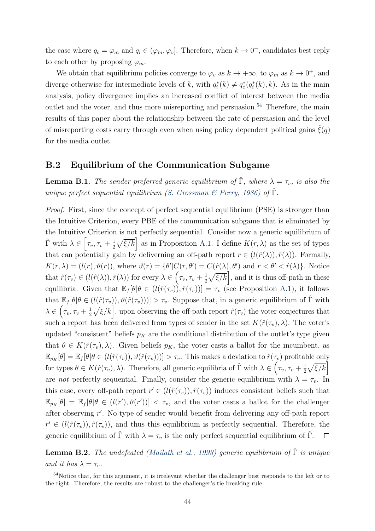the case where  $q_c = \varphi_m$  and  $q_i \in (\varphi_m, \varphi_v]$ . Therefore, when  $k \to 0^+$ , candidates best reply to each other by proposing  $\varphi_m$ .

We obtain that equilibrium policies converge to  $\varphi_v$  as  $k \to +\infty$ , to  $\varphi_m$  as  $k \to 0^+$ , and diverge otherwise for intermediate levels of k, with  $q_i^*(k) \neq q_c^*(q_i^*(k), k)$ . As in the main analysis, policy divergence implies an increased conflict of interest between the media outlet and the voter, and thus more misreporting and persuasion.<sup>54</sup> Therefore, the main results of this paper about the relationship between the rate of persuasion and the level of misreporting costs carry through even when using policy dependent political gains  $\zeta(q)$ for the media outlet.

### B.2 Equilibrium of the Communication Subgame

**Lemma B.1.** The sender-preferred generic equilibrium of  $\hat{\Gamma}$ , where  $\lambda = \tau_v$ , is also the unique perfect sequential equilibrium (S. Grossman & Perry, 1986) of  $\hat{\Gamma}$ .

Proof. First, since the concept of perfect sequential equilibrium (PSE) is stronger than the Intuitive Criterion, every PBE of the communication subgame that is eliminated by the Intuitive Criterion is not perfectly sequential. Consider now a generic equilibrium of  $\hat{\Gamma}$  with  $\lambda \in \left[ \tau_v, \tau_v + \frac{1}{2} \right]$  $\frac{1}{2}\sqrt{\xi/k}$  as in Proposition A.1. I define  $K(r, \lambda)$  as the set of types that can potentially gain by deliverning an off-path report  $r \in (l(\hat{r}(\lambda)), \hat{r}(\lambda))$ . Formally,  $K(r, \lambda) = (l(r), \vartheta(r))$ , where  $\vartheta(r) = {\theta' | C(r, \theta') = C(\hat{r}(\lambda), \theta')}$  and  $r < \theta' < \hat{r}(\lambda)$ . Notice that  $\hat{r}(\tau_v) \in (l(\hat{r}(\lambda)), \hat{r}(\lambda))$  for every  $\lambda \in (\tau_v, \tau_v + \frac{1}{2})$  $\frac{1}{2}\sqrt{\xi/k}$ , and it is thus off-path in these equilibria. Given that  $\mathbb{E}_f[\theta|\theta \in (l(\hat{r}(\tau_v)), \hat{r}(\tau_v))] = \tau_v$  (see Proposition A.1), it follows that  $\mathbb{E}_f[\theta|\theta \in (l(\hat{r}(\tau_v)), \vartheta(\hat{r}(\tau_v)))] > \tau_v$ . Suppose that, in a generic equilibrium of  $\hat{\Gamma}$  with  $\lambda \in \left(\tau_v, \tau_v+\frac{1}{2}\right)$  $\frac{1}{2}\sqrt{\xi/k}$ , upon observing the off-path report  $\hat{r}(\tau_v)$  the voter conjectures that such a report has been delivered from types of sender in the set  $K(\hat{r}(\tau_v), \lambda)$ . The voter's updated "consistent" beliefs  $p<sub>K</sub>$  are the conditional distribution of the outlet's type given that  $\theta \in K(\hat{r}(\tau_v), \lambda)$ . Given beliefs  $p_K$ , the voter casts a ballot for the incumbent, as  $\mathbb{E}_{p_K}[\theta] = \mathbb{E}_f[\theta | \theta \in (l(\hat{r}(\tau_v)), \vartheta(\hat{r}(\tau_v)))] > \tau_v$ . This makes a deviation to  $\hat{r}(\tau_v)$  profitable only for types  $\theta \in K(\hat{r}(\tau_v), \lambda)$ . Therefore, all generic equilibria of  $\hat{\Gamma}$  with  $\lambda \in (\tau_v, \tau_v + \frac{1}{2})$  $\frac{1}{2}\sqrt{\xi/k}$ are not perfectly sequential. Finally, consider the generic equilibrium with  $\lambda = \tau_v$ . In this case, every off-path report  $r' \in (l(\hat{r}(\tau_v)), \hat{r}(\tau_v))$  induces consistent beliefs such that  $\mathbb{E}_{p_K}[\theta] = \mathbb{E}_f[\theta | \theta \in (l(r'), \vartheta(r'))] < \tau_v$ , and the voter casts a ballot for the challenger after observing r ′ . No type of sender would benefit from delivering any off-path report  $r' \in (l(\hat{r}(\tau_v)), \hat{r}(\tau_v))$ , and thus this equilibrium is perfectly sequential. Therefore, the generic equilibrium of  $\Gamma$  with  $\lambda = \tau_v$  is the only perfect sequential equilibrium of  $\Gamma$ .  $\Box$ 

**Lemma B.2.** The undefeated (Mailath et al., 1993) generic equilibrium of  $\hat{\Gamma}$  is unique and it has  $\lambda = \tau_v$ .

<sup>&</sup>lt;sup>54</sup>Notice that, for this argument, it is irrelevant whether the challenger best responds to the left or to the right. Therefore, the results are robust to the challenger's tie breaking rule.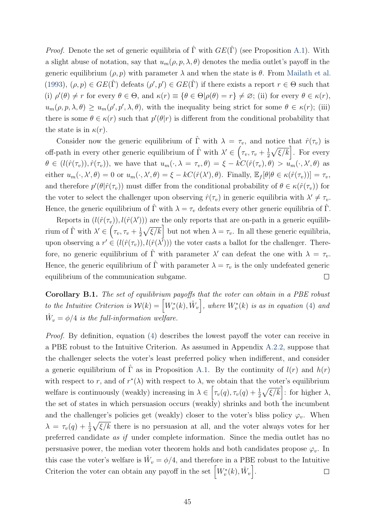*Proof.* Denote the set of generic equilibria of  $\hat{\Gamma}$  with  $GE(\hat{\Gamma})$  (see Proposition A.1). With a slight abuse of notation, say that  $u_m(\rho, p, \lambda, \theta)$  denotes the media outlet's payoff in the generic equilibrium  $(\rho, p)$  with parameter  $\lambda$  and when the state is  $\theta$ . From Mailath et al. (1993),  $(\rho, p) \in GE(\hat{\Gamma})$  defeats  $(\rho', p') \in GE(\hat{\Gamma})$  if there exists a report  $r \in \Theta$  such that (i)  $\rho'(\theta) \neq r$  for every  $\theta \in \Theta$ , and  $\kappa(r) \equiv {\theta \in \Theta | \rho(\theta) = r} \neq \emptyset$ ; (ii) for every  $\theta \in \kappa(r)$ ,  $u_m(\rho, p, \lambda, \theta) \ge u_m(\rho', p', \lambda, \theta)$ , with the inequality being strict for some  $\theta \in \kappa(r)$ ; (iii) there is some  $\theta \in \kappa(r)$  such that  $p'(\theta|r)$  is different from the conditional probability that the state is in  $\kappa(r)$ .

Consider now the generic equilibrium of  $\hat{\Gamma}$  with  $\lambda = \tau_v$ , and notice that  $\hat{r}(\tau_v)$  is off-path in every other generic equilibrium of  $\hat{\Gamma}$  with  $\lambda' \in \left(\tau_v, \tau_v + \frac{1}{2}\right)$  $\frac{1}{2}\sqrt{\xi/k}$ . For every  $\theta \in (l(\hat{r}(\tau_v)), \hat{r}(\tau_v))$ , we have that  $u_m(\cdot, \lambda = \tau_v, \theta) = \xi - kC(\hat{r}(\tau_v), \theta) > u_m(\cdot, \lambda', \theta)$  as either  $u_m(\cdot, \lambda', \theta) = 0$  or  $u_m(\cdot, \lambda', \theta) = \xi - kC(\hat{r}(\lambda'), \theta)$ . Finally,  $\mathbb{E}_f[\theta | \theta \in \kappa(\hat{r}(\tau_v))] = \tau_v$ , and therefore  $p'(\theta|\hat{r}(\tau_v))$  must differ from the conditional probability of  $\theta \in \kappa(\hat{r}(\tau_v))$  for the voter to select the challenger upon observing  $\hat{r}(\tau_v)$  in generic equilibria with  $\lambda' \neq \tau_v$ . Hence, the generic equilibrium of  $\Gamma$  with  $\lambda = \tau_v$  defeats every other generic equilibria of  $\Gamma$ .

Reports in  $(l(\hat{r}(\tau_v)), l(\hat{r}(\lambda')))$  are the only reports that are on-path in a generic equilibrium of  $\hat{\Gamma}$  with  $\lambda' \in \left(\tau_v, \tau_v + \frac{1}{2}\right)$  $\frac{1}{2}\sqrt{\xi/k}$  but not when  $\lambda = \tau_v$ . In all these generic equilibria, upon observing a  $r' \in (l(\hat{r}(\tau_v)), l(\hat{r}(\lambda^{\bar{I}})))$  the voter casts a ballot for the challenger. Therefore, no generic equilibrium of  $\hat{\Gamma}$  with parameter  $\lambda'$  can defeat the one with  $\lambda = \tau_v$ . Hence, the generic equilibrium of  $\hat{\Gamma}$  with parameter  $\lambda = \tau_v$  is the only undefeated generic equilibrium of the communication subgame.  $\Box$ 

Corollary B.1. The set of equilibrium payoffs that the voter can obtain in a PBE robust to the Intuitive Criterion is  $\mathcal{W}(k) = \left[W_v^*(k), \hat{W}_v\right]$ , where  $W_v^*(k)$  is as in equation (4) and  $\hat{W}_v = \phi/4$  is the full-information welfare.

Proof. By definition, equation (4) describes the lowest payoff the voter can receive in a PBE robust to the Intuitive Criterion. As assumed in Appendix A.2.2, suppose that the challenger selects the voter's least preferred policy when indifferent, and consider a generic equilibrium of  $\hat{\Gamma}$  as in Proposition A.1. By the continuity of  $l(r)$  and  $h(r)$ with respect to r, and of  $r^*(\lambda)$  with respect to  $\lambda$ , we obtain that the voter's equilibrium welfare is continuously (weakly) increasing in  $\lambda \in \left[ \tau_v(q), \tau_v(q) + \frac{1}{2} \sqrt{\xi/k} \right]$ : for higher  $\lambda$ , the set of states in which persuasion occurs (weakly) shrinks and both the incumbent and the challenger's policies get (weakly) closer to the voter's bliss policy  $\varphi_v$ . When  $\lambda = \tau_v(q) + \frac{1}{2}\sqrt{\xi/k}$  there is no persuasion at all, and the voter always votes for her preferred candidate as if under complete information. Since the media outlet has no persuasive power, the median voter theorem holds and both candidates propose  $\varphi_v$ . In this case the voter's welfare is  $\hat{W}_v = \phi/4$ , and therefore in a PBE robust to the Intuitive Criterion the voter can obtain any payoff in the set  $\left[W_v^*(k), \hat{W}_v\right]$ .  $\Box$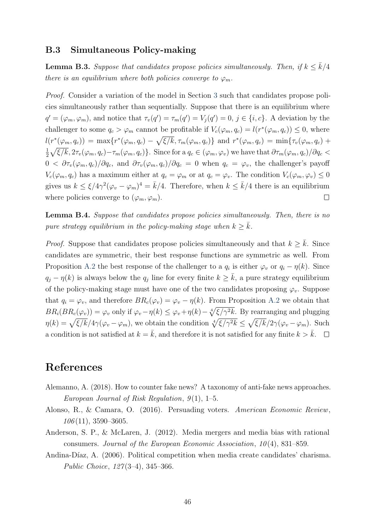#### B.3 Simultaneous Policy-making

**Lemma B.3.** Suppose that candidates propose policies simultaneously. Then, if  $k \leq \overline{k}/4$ there is an equilibrium where both policies converge to  $\varphi_m$ .

Proof. Consider a variation of the model in Section 3 such that candidates propose policies simultaneously rather than sequentially. Suppose that there is an equilibrium where  $q' = (\varphi_m, \varphi_m)$ , and notice that  $\tau_v(q') = \tau_m(q') = V_j(q') = 0, j \in \{i, c\}$ . A deviation by the challenger to some  $q_c > \varphi_m$  cannot be profitable if  $V_c(\varphi_m, q_c) = l(r^*(\varphi_m, q_c)) \leq 0$ , where  $l(r^*(\varphi_m, q_c)) = \max\{r^*(\varphi_m, q_c) - \sqrt{\xi/k}, \tau_m(\varphi_m, q_c)\}\$ and  $r^*(\varphi_m, q_c) = \min\{\tau_v(\varphi_m, q_c) + \tau_m(\varphi_m, q_c)\}$  $\frac{1}{2}\sqrt{\xi/k}, 2\tau_v(\varphi_m, q_c) - \tau_m(\varphi_m, q_c)\}.$  Since for a  $q_c \in (\varphi_m, \varphi_v)$  we have that  $\partial \tau_m(\varphi_m, q_c)/\partial q_c <$ 1  $0 < \partial \tau_v(\varphi_m, q_c)/\partial q_c$ , and  $\partial \tau_v(\varphi_m, q_c)/\partial q_c = 0$  when  $q_c = \varphi_v$ , the challenger's payoff  $V_c(\varphi_m, q_c)$  has a maximum either at  $q_c = \varphi_m$  or at  $q_c = \varphi_v$ . The condition  $V_c(\varphi_m, \varphi_v) \leq 0$ gives us  $k \leq \xi/4\gamma^2(\varphi_v - \varphi_m)^4 = \bar{k}/4$ . Therefore, when  $k \leq \bar{k}/4$  there is an equilibrium where policies converge to  $(\varphi_m, \varphi_m)$ .  $\Box$ 

**Lemma B.4.** Suppose that candidates propose policies simultaneously. Then, there is no pure strategy equilibrium in the policy-making stage when  $k \geq \overline{k}$ .

*Proof.* Suppose that candidates propose policies simultaneously and that  $k \geq k$ . Since candidates are symmetric, their best response functions are symmetric as well. From Proposition A.2 the best response of the challenger to a  $q_i$  is either  $\varphi_v$  or  $q_i - \eta(k)$ . Since  $q_j - \eta(k)$  is always below the  $q_j$  line for every finite  $k \geq \bar{k}$ , a pure strategy equilibrium of the policy-making stage must have one of the two candidates proposing  $\varphi_v$ . Suppose that  $q_i = \varphi_v$ , and therefore  $BR_c(\varphi_v) = \varphi_v - \eta(k)$ . From Proposition A.2 we obtain that  $BR_i(BR_c(\varphi_v)) = \varphi_v$  only if  $\varphi_v - \eta(k) \leq \varphi_v + \eta(k) - \sqrt[4]{\xi/\gamma^2 k}$ . By rearranging and plugging  $\eta(k) = \sqrt{\xi/k}/4\gamma(\varphi_v - \varphi_m)$ , we obtain the condition  $\sqrt[4]{\xi/\gamma^2k} \leq \sqrt{\xi/k}/2\gamma(\varphi_v - \varphi_m)$ . Such a condition is not satisfied at  $k = \bar{k}$ , and therefore it is not satisfied for any finite  $k > \bar{k}$ .  $\Box$ 

### References

- Alemanno, A. (2018). How to counter fake news? A taxonomy of anti-fake news approaches. European Journal of Risk Regulation,  $9(1)$ , 1–5.
- Alonso, R., & Camara, O. (2016). Persuading voters. American Economic Review,  $106(11), 3590 - 3605.$
- Anderson, S. P., & McLaren, J. (2012). Media mergers and media bias with rational consumers. Journal of the European Economic Association,  $10(4)$ , 831–859.
- Andina-Díaz, A. (2006). Political competition when media create candidates' charisma. Public Choice, 127(3–4), 345–366.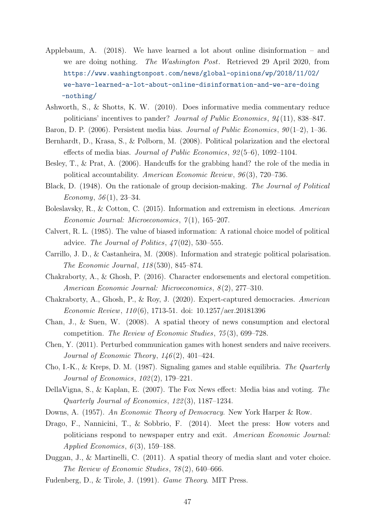- Applebaum, A. (2018). We have learned a lot about online disinformation and we are doing nothing. The Washington Post. Retrieved 29 April 2020, from https://www.washingtonpost.com/news/global-opinions/wp/2018/11/02/ we-have-learned-a-lot-about-online-disinformation-and-we-are-doing -nothing/
- Ashworth, S., & Shotts, K. W. (2010). Does informative media commentary reduce politicians' incentives to pander? Journal of Public Economics, 94 (11), 838–847.
- Baron, D. P. (2006). Persistent media bias. Journal of Public Economics,  $90(1-2)$ , 1–36.
- Bernhardt, D., Krasa, S., & Polborn, M. (2008). Political polarization and the electoral effects of media bias. Journal of Public Economics, 92 (5–6), 1092–1104.
- Besley, T., & Prat, A. (2006). Handcuffs for the grabbing hand? the role of the media in political accountability. American Economic Review, 96 (3), 720–736.
- Black, D. (1948). On the rationale of group decision-making. The Journal of Political Economy,  $56(1)$ ,  $23-34$ .
- Boleslavsky, R., & Cotton, C. (2015). Information and extremism in elections. American Economic Journal: Microeconomics,  $7(1)$ , 165-207.
- Calvert, R. L. (1985). The value of biased information: A rational choice model of political advice. The Journal of Politics,  $47(02)$ , 530–555.
- Carrillo, J. D., & Castanheira, M. (2008). Information and strategic political polarisation. The Economic Journal, 118 (530), 845–874.
- Chakraborty, A., & Ghosh, P. (2016). Character endorsements and electoral competition. American Economic Journal: Microeconomics,  $8(2)$ , 277–310.
- Chakraborty, A., Ghosh, P., & Roy, J. (2020). Expert-captured democracies. American Economic Review, 110 (6), 1713-51. doi: 10.1257/aer.20181396
- Chan, J., & Suen, W. (2008). A spatial theory of news consumption and electoral competition. The Review of Economic Studies, 75 (3), 699–728.
- Chen, Y. (2011). Perturbed communication games with honest senders and naive receivers. Journal of Economic Theory,  $146(2)$ ,  $401-424$ .
- Cho, I.-K., & Kreps, D. M. (1987). Signaling games and stable equilibria. The Quarterly Journal of Economics, 102 (2), 179–221.
- DellaVigna, S., & Kaplan, E. (2007). The Fox News effect: Media bias and voting. The Quarterly Journal of Economics, 122 (3), 1187–1234.
- Downs, A. (1957). An Economic Theory of Democracy. New York Harper & Row.
- Drago, F., Nannicini, T., & Sobbrio, F. (2014). Meet the press: How voters and politicians respond to newspaper entry and exit. American Economic Journal: Applied Economics,  $6(3)$ , 159–188.
- Duggan, J., & Martinelli, C. (2011). A spatial theory of media slant and voter choice. The Review of Economic Studies, 78 (2), 640–666.
- Fudenberg, D., & Tirole, J. (1991). Game Theory. MIT Press.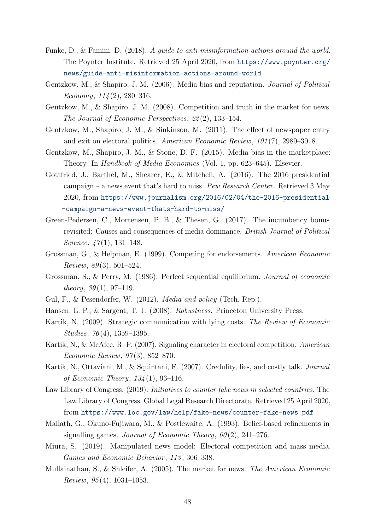- Funke, D., & Famini, D. (2018). A guide to anti-misinformation actions around the world. The Poynter Institute. Retrieved 25 April 2020, from https://www.poynter.org/ news/guide-anti-misinformation-actions-around-world
- Gentzkow, M., & Shapiro, J. M. (2006). Media bias and reputation. Journal of Political Economy,  $114(2)$ , 280-316.
- Gentzkow, M., & Shapiro, J. M. (2008). Competition and truth in the market for news. The Journal of Economic Perspectives, 22 (2), 133–154.
- Gentzkow, M., Shapiro, J. M., & Sinkinson, M. (2011). The effect of newspaper entry and exit on electoral politics. American Economic Review, 101 (7), 2980–3018.
- Gentzkow, M., Shapiro, J. M., & Stone, D. F. (2015). Media bias in the marketplace: Theory. In Handbook of Media Economics (Vol. 1, pp. 623–645). Elsevier.
- Gottfried, J., Barthel, M., Shearer, E., & Mitchell, A. (2016). The 2016 presidential campaign – a news event that's hard to miss. Pew Research Center. Retrieved  $3$  May 2020, from https://www.journalism.org/2016/02/04/the-2016-presidential -campaign-a-news-event-thats-hard-to-miss/
- Green-Pedersen, C., Mortensen, P. B., & Thesen, G. (2017). The incumbency bonus revisited: Causes and consequences of media dominance. British Journal of Political Science,  $\frac{47(1)}{131-148}$ .
- Grossman, G., & Helpman, E. (1999). Competing for endorsements. American Economic  $Review, 89(3), 501-524.$
- Grossman, S., & Perry, M. (1986). Perfect sequential equilibrium. Journal of economic *theory*,  $39(1)$ ,  $97-119$ .
- Gul, F., & Pesendorfer, W. (2012). Media and policy (Tech. Rep.).
- Hansen, L. P., & Sargent, T. J. (2008). Robustness. Princeton University Press.
- Kartik, N. (2009). Strategic communication with lying costs. The Review of Economic Studies, 76 (4), 1359–1395.
- Kartik, N., & McAfee, R. P. (2007). Signaling character in electoral competition. American Economic Review, 97 (3), 852–870.
- Kartik, N., Ottaviani, M., & Squintani, F. (2007). Credulity, lies, and costly talk. Journal of Economic Theory,  $134(1)$ , 93-116.
- Law Library of Congress. (2019). *Initiatives to counter fake news in selected countries*. The Law Library of Congress, Global Legal Research Directorate. Retrieved 25 April 2020, from https://www.loc.gov/law/help/fake-news/counter-fake-news.pdf
- Mailath, G., Okuno-Fujiwara, M., & Postlewaite, A. (1993). Belief-based refinements in signalling games. Journal of Economic Theory,  $60(2)$ ,  $241-276$ .
- Miura, S. (2019). Manipulated news model: Electoral competition and mass media. Games and Economic Behavior, 113, 306-338.
- Mullainathan, S., & Shleifer, A. (2005). The market for news. The American Economic Review,  $95(4)$ , 1031-1053.